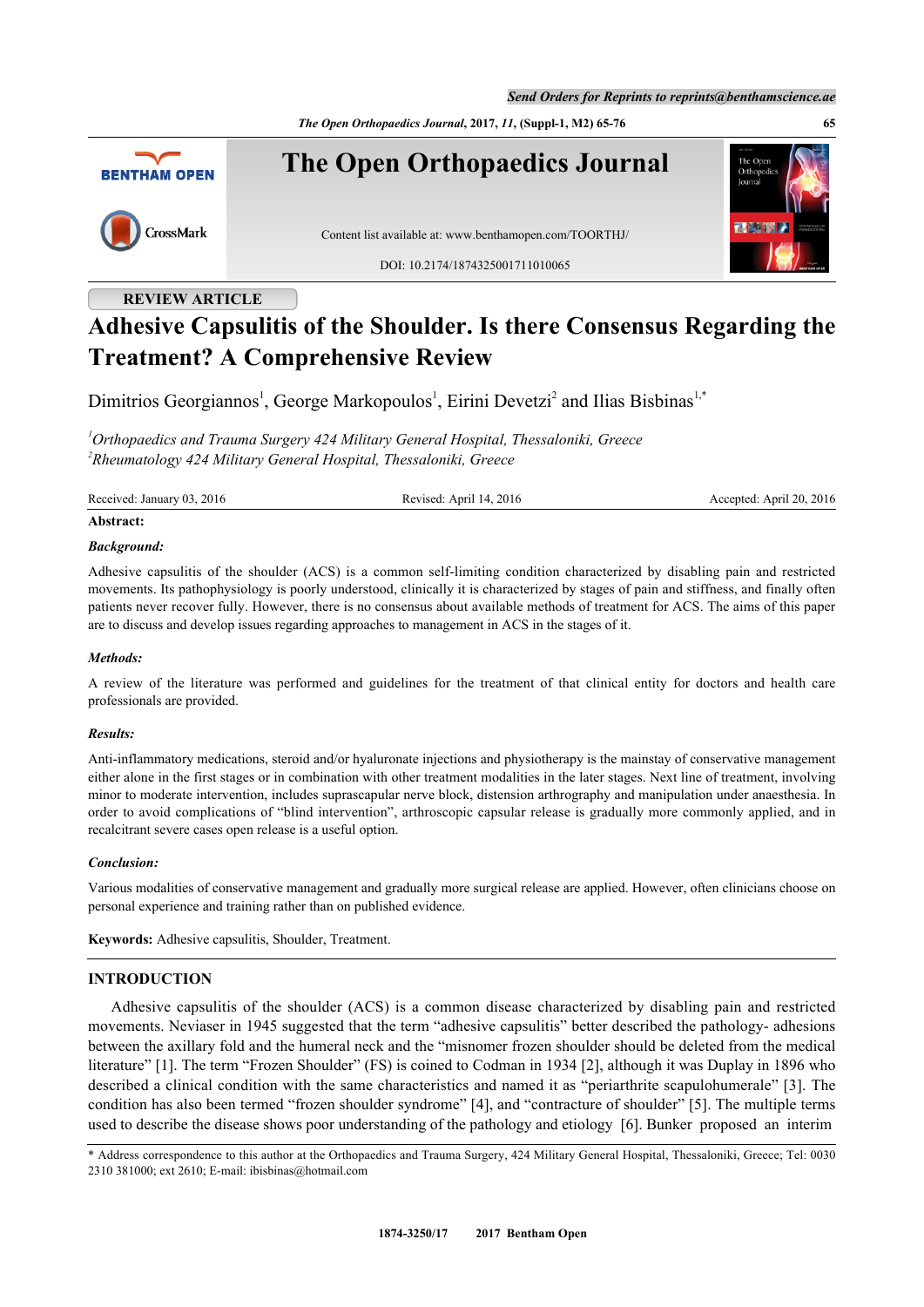*The Open Orthopaedics Journal***, 2017,** *11***, (Suppl-1, M2) 65-76 65**



## **REVIEW ARTICLE**

# **Adhesive Capsulitis of the Shoulder. Is there Consensus Regarding the Treatment? A Comprehensive Review**

Dimitrios Georgiannos<sup>[1](#page-0-0)</sup>, George Markopoulos<sup>1</sup>, Eirini Devetzi<sup>[2](#page-0-1)</sup> and Ilias Bisbinas<sup>[1,](#page-0-0)[\\*](#page-0-2)</sup>

<span id="page-0-1"></span><span id="page-0-0"></span>*<sup>1</sup>Orthopaedics and Trauma Surgery 424 Military General Hospital, Thessaloniki, Greece 2 Rheumatology 424 Military General Hospital, Thessaloniki, Greece*

Received: January 03, 2016 Revised: April 14, 2016 Revised: April 14, 2016 Accepted: April 20, 2016

#### **Abstract:**

#### *Background:*

Adhesive capsulitis of the shoulder (ACS) is a common self-limiting condition characterized by disabling pain and restricted movements. Its pathophysiology is poorly understood, clinically it is characterized by stages of pain and stiffness, and finally often patients never recover fully. However, there is no consensus about available methods of treatment for ACS. The aims of this paper are to discuss and develop issues regarding approaches to management in ACS in the stages of it.

#### *Methods:*

A review of the literature was performed and guidelines for the treatment of that clinical entity for doctors and health care professionals are provided.

#### *Results:*

Anti-inflammatory medications, steroid and/or hyaluronate injections and physiotherapy is the mainstay of conservative management either alone in the first stages or in combination with other treatment modalities in the later stages. Next line of treatment, involving minor to moderate intervention, includes suprascapular nerve block, distension arthrography and manipulation under anaesthesia. In order to avoid complications of "blind intervention", arthroscopic capsular release is gradually more commonly applied, and in recalcitrant severe cases open release is a useful option.

#### *Conclusion:*

Various modalities of conservative management and gradually more surgical release are applied. However, often clinicians choose on personal experience and training rather than on published evidence.

**Keywords:** Adhesive capsulitis, Shoulder, Treatment.

#### **INTRODUCTION**

Adhesive capsulitis of the shoulder (ACS) is a common disease characterized by disabling pain and restricted movements. Neviaser in 1945 suggested that the term "adhesive capsulitis" better described the pathology- adhesions between the axillary fold and the humeral neck and the "misnomer frozen shoulder should be deleted from the medical literature" [[1\]](#page-6-0). The term "Frozen Shoulder" (FS) is coined to Codman in 1934 [[2\]](#page-6-1), although it was Duplay in 1896 who described a clinical condition with the same characteristics and named it as "periarthrite scapulohumerale" [\[3\]](#page-6-2). The condition has also been termed "frozen shoulder syndrome" [[4\]](#page-6-3), and "contracture of shoulder" [\[5\]](#page-6-4). The multiple terms used to describe the disease shows poor understanding of the pathology and etiology [\[6](#page-6-5)]. Bunker proposed an interim

<span id="page-0-2"></span>\* Address correspondence to this author at the Orthopaedics and Trauma Surgery, 424 Military General Hospital, Thessaloniki, Greece; Tel: 0030 2310 381000; ext 2610; E-mail: [ibisbinas@hotmail.com](mailto:ibisbinas@hotmail.com)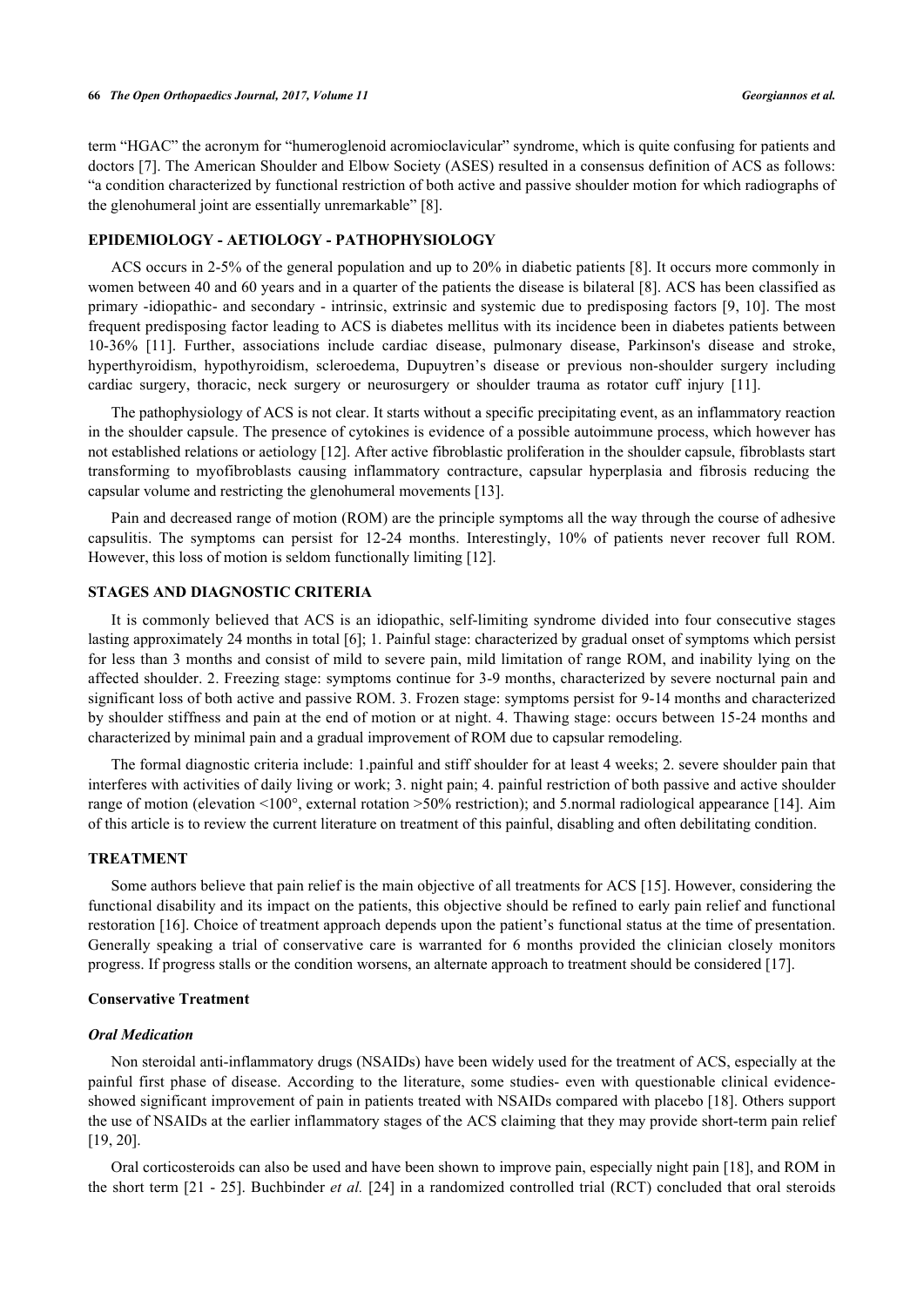term "HGAC" the acronym for "humeroglenoid acromioclavicular" syndrome, which is quite confusing for patients and doctors [[7\]](#page-7-0). The American Shoulder and Elbow Society (ASES) resulted in a consensus definition of ACS as follows: "a condition characterized by functional restriction of both active and passive shoulder motion for which radiographs of the glenohumeral joint are essentially unremarkable" [\[8](#page-7-1)].

#### **EPIDEMIOLOGY - AETIOLOGY - PATHOPHYSIOLOGY**

ACS occurs in 2-5% of the general population and up to 20% in diabetic patients [\[8](#page-7-1)]. It occurs more commonly in women between 40 and 60 years and in a quarter of the patients the disease is bilateral [\[8](#page-7-1)]. ACS has been classified as primary -idiopathic- and secondary - intrinsic, extrinsic and systemic due to predisposing factors [[9](#page-7-2), [10](#page-7-3)]. The most frequent predisposing factor leading to ACS is diabetes mellitus with its incidence been in diabetes patients between 10-36% [\[11\]](#page-7-4). Further, associations include cardiac disease, pulmonary disease, Parkinson's disease and stroke, hyperthyroidism, hypothyroidism, scleroedema, Dupuytren's disease or previous non-shoulder surgery including cardiac surgery, thoracic, neck surgery or neurosurgery or shoulder trauma as rotator cuff injury[[11\]](#page-7-4).

The pathophysiology of ACS is not clear. It starts without a specific precipitating event, as an inflammatory reaction in the shoulder capsule. The presence of cytokines is evidence of a possible autoimmune process, which however has not established relations or aetiology [\[12](#page-7-5)]. After active fibroblastic proliferation in the shoulder capsule, fibroblasts start transforming to myofibroblasts causing inflammatory contracture, capsular hyperplasia and fibrosis reducing the capsular volume and restricting the glenohumeral movements [\[13](#page-7-6)].

Pain and decreased range of motion (ROM) are the principle symptoms all the way through the course of adhesive capsulitis. The symptoms can persist for 12-24 months. Interestingly, 10% of patients never recover full ROM. However, this loss of motion is seldom functionally limiting [[12\]](#page-7-5).

#### **STAGES AND DIAGNOSTIC CRITERIA**

It is commonly believed that ACS is an idiopathic, self-limiting syndrome divided into four consecutive stages lasting approximately 24 months in total [[6\]](#page-6-5); 1. Painful stage: characterized by gradual onset of symptoms which persist for less than 3 months and consist of mild to severe pain, mild limitation of range ROM, and inability lying on the affected shoulder. 2. Freezing stage: symptoms continue for 3-9 months, characterized by severe nocturnal pain and significant loss of both active and passive ROM. 3. Frozen stage: symptoms persist for 9-14 months and characterized by shoulder stiffness and pain at the end of motion or at night. 4. Thawing stage: occurs between 15-24 months and characterized by minimal pain and a gradual improvement of ROM due to capsular remodeling.

The formal diagnostic criteria include: 1.painful and stiff shoulder for at least 4 weeks; 2. severe shoulder pain that interferes with activities of daily living or work; 3. night pain; 4. painful restriction of both passive and active shoulder range of motion (elevation <100°, external rotation >50% restriction); and 5.normal radiological appearance [[14](#page-7-7)]. Aim of this article is to review the current literature on treatment of this painful, disabling and often debilitating condition.

### **TREATMENT**

Some authors believe that pain relief is the main objective of all treatments for ACS [\[15](#page-7-8)]. However, considering the functional disability and its impact on the patients, this objective should be refined to early pain relief and functional restoration [\[16](#page-7-9)]. Choice of treatment approach depends upon the patient's functional status at the time of presentation. Generally speaking a trial of conservative care is warranted for 6 months provided the clinician closely monitors progress. If progress stalls or the condition worsens, an alternate approach to treatment should be considered [[17\]](#page-7-10).

#### **Conservative Treatment**

#### *Oral Medication*

Non steroidal anti-inflammatory drugs (NSAIDs) have been widely used for the treatment of ACS, especially at the painful first phase of disease. According to the literature, some studies- even with questionable clinical evidenceshowed significant improvement of pain in patients treated with NSAIDs compared with placebo [[18\]](#page-7-11). Others support the use of NSAIDs at the earlier inflammatory stages of the ACS claiming that they may provide short-term pain relief [\[19](#page-7-12), [20](#page-7-13)].

Oral corticosteroids can also be used and have been shown to improve pain, especially night pain [[18\]](#page-7-11), and ROM in the short term [[21](#page-7-14) - [25](#page-7-15)]. Buchbinder *et al.* [[24](#page-7-16)] in a randomized controlled trial (RCT) concluded that oral steroids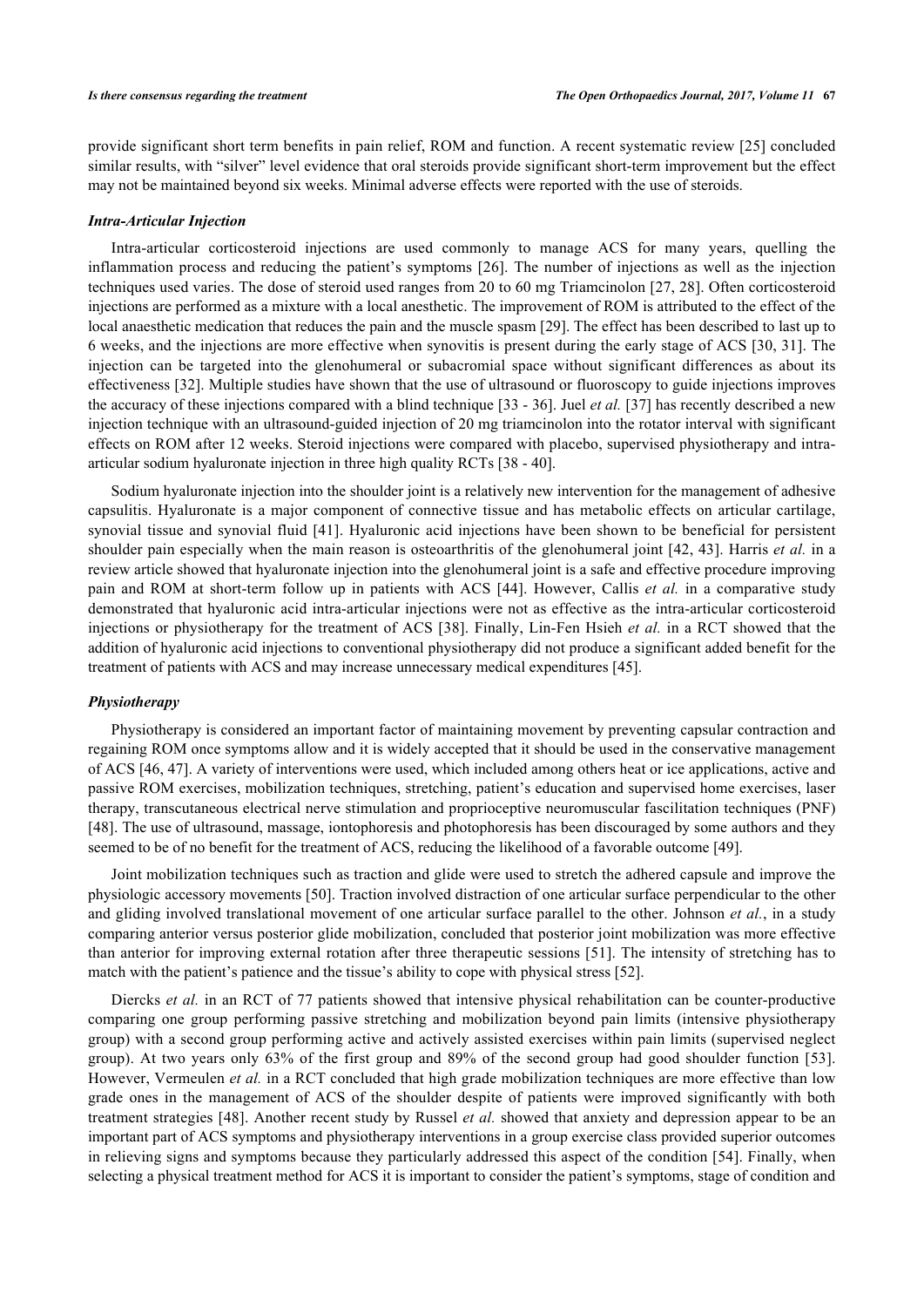provide significant short term benefits in pain relief, ROM and function. A recent systematic review [[25](#page-7-15)] concluded similar results, with "silver" level evidence that oral steroids provide significant short-term improvement but the effect may not be maintained beyond six weeks. Minimal adverse effects were reported with the use of steroids.

#### *Intra-Articular Injection*

Intra-articular corticosteroid injections are used commonly to manage ACS for many years, quelling the inflammation process and reducing the patient's symptoms [\[26\]](#page-7-17). The number of injections as well as the injection techniques used varies. The dose of steroid used ranges from 20 to 60 mg Triamcinolon [\[27,](#page-7-18) [28](#page-7-19)]. Often corticosteroid injections are performed as a mixture with a local anesthetic. The improvement of ROM is attributed to the effect of the local anaesthetic medication that reduces the pain and the muscle spasm [\[29\]](#page-7-20). The effect has been described to last up to 6 weeks, and the injections are more effective when synovitis is present during the early stage of ACS [[30](#page-8-0), [31\]](#page-8-1). The injection can be targeted into the glenohumeral or subacromial space without significant differences as about its effectiveness [[32\]](#page-8-2). Multiple studies have shown that the use of ultrasound or fluoroscopy to guide injections improves the accuracy of these injections compared with a blind technique [\[33](#page-8-3) - [36\]](#page-8-4). Juel *et al.* [[37\]](#page-8-5) has recently described a new injection technique with an ultrasound-guided injection of 20 mg triamcinolon into the rotator interval with significant effects on ROM after 12 weeks. Steroid injections were compared with placebo, supervised physiotherapy and intraarticular sodium hyaluronate injection in three high quality RCTs [\[38](#page-8-6) - [40\]](#page-8-7).

Sodium hyaluronate injection into the shoulder joint is a relatively new intervention for the management of adhesive capsulitis. Hyaluronate is a major component of connective tissue and has metabolic effects on articular cartilage, synovial tissue and synovial fluid [\[41](#page-8-8)]. Hyaluronic acid injections have been shown to be beneficial for persistent shoulder pain especially when the main reason is osteoarthritis of the glenohumeral joint [[42](#page-8-9), [43](#page-8-10)]. Harris *et al.* in a review article showed that hyaluronate injection into the glenohumeral joint is a safe and effective procedure improving pain and ROM at short-term follow up in patients with ACS[[44\]](#page-8-11). However, Callis *et al.* in a comparative study demonstrated that hyaluronic acid intra-articular injections were not as effective as the intra-articular corticosteroid injections or physiotherapy for the treatment of ACS [[38](#page-8-6)]. Finally, Lin-Fen Hsieh *et al.* in a RCT showed that the addition of hyaluronic acid injections to conventional physiotherapy did not produce a significant added benefit for the treatment of patients with ACS and may increase unnecessary medical expenditures [\[45](#page-8-12)].

#### *Physiotherapy*

Physiotherapy is considered an important factor of maintaining movement by preventing capsular contraction and regaining ROM once symptoms allow and it is widely accepted that it should be used in the conservative management of ACS [\[46](#page-8-13), [47](#page-8-14)]. A variety of interventions were used, which included among others heat or ice applications, active and passive ROM exercises, mobilization techniques, stretching, patient's education and supervised home exercises, laser therapy, transcutaneous electrical nerve stimulation and proprioceptive neuromuscular fascilitation techniques (PNF) [\[48](#page-8-15)]. The use of ultrasound, massage, iontophoresis and photophoresis has been discouraged by some authors and they seemed to be of no benefit for the treatment of ACS, reducing the likelihood of a favorable outcome [\[49](#page-8-16)].

Joint mobilization techniques such as traction and glide were used to stretch the adhered capsule and improve the physiologic accessory movements [\[50](#page-8-17)]. Traction involved distraction of one articular surface perpendicular to the other and gliding involved translational movement of one articular surface parallel to the other. Johnson *et al.*, in a study comparing anterior versus posterior glide mobilization, concluded that posterior joint mobilization was more effective than anterior for improving external rotation after three therapeutic sessions [[51\]](#page-9-0). The intensity of stretching has to match with the patient's patience and the tissue's ability to cope with physical stress [\[52](#page-9-1)].

Diercks *et al.* in an RCT of 77 patients showed that intensive physical rehabilitation can be counter-productive comparing one group performing passive stretching and mobilization beyond pain limits (intensive physiotherapy group) with a second group performing active and actively assisted exercises within pain limits (supervised neglect group). At two years only 63% of the first group and 89% of the second group had good shoulder function [\[53\]](#page-9-2). However, Vermeulen *et al.* in a RCT concluded that high grade mobilization techniques are more effective than low grade ones in the management of ACS of the shoulder despite of patients were improved significantly with both treatment strategies [\[48](#page-8-15)]. Another recent study by Russel *et al.* showed that anxiety and depression appear to be an important part of ACS symptoms and physiotherapy interventions in a group exercise class provided superior outcomes in relieving signs and symptoms because they particularly addressed this aspect of the condition [[54\]](#page-9-3). Finally, when selecting a physical treatment method for ACS it is important to consider the patient's symptoms, stage of condition and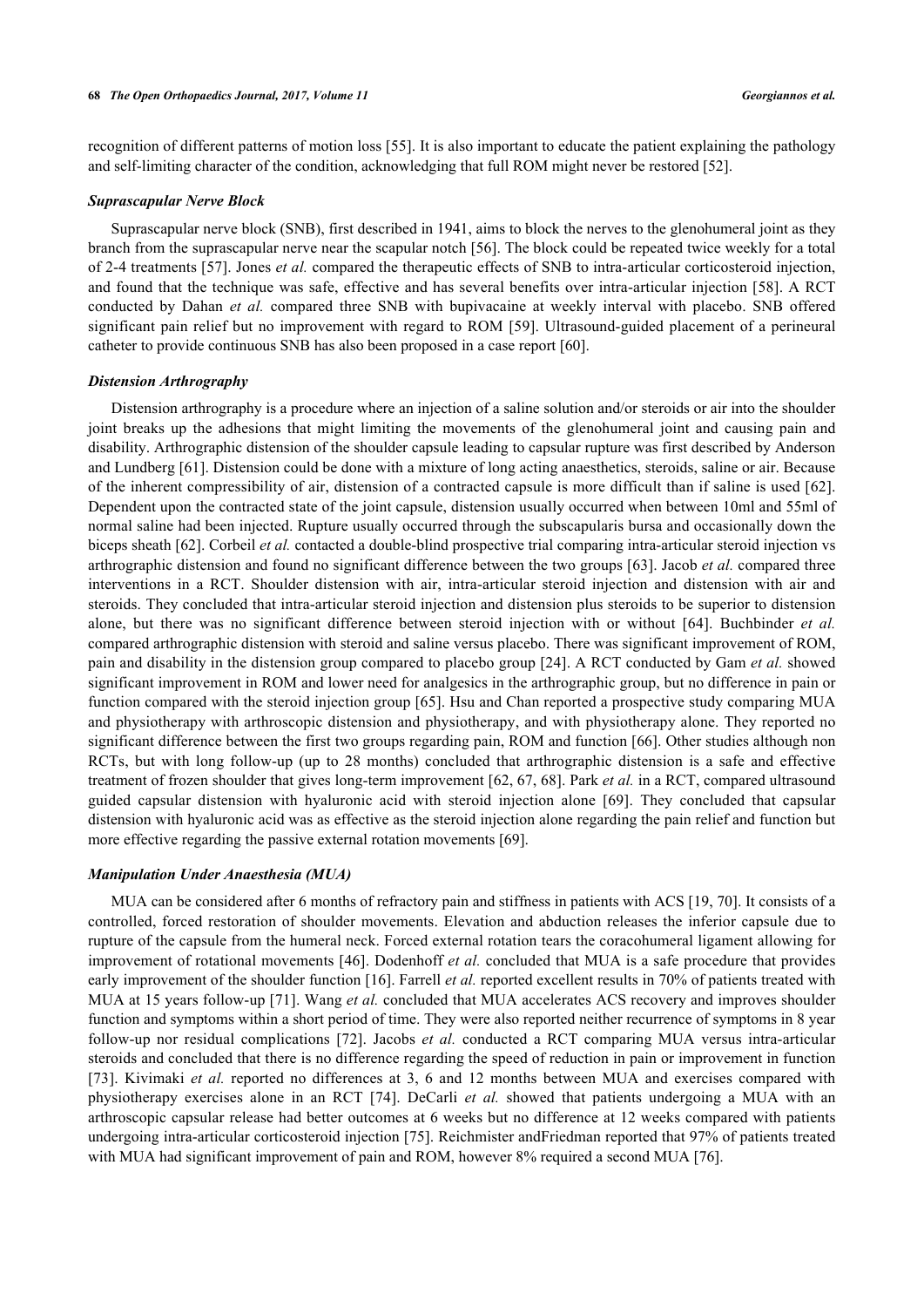recognition of different patterns of motion loss [[55](#page-9-4)]. It is also important to educate the patient explaining the pathology and self-limiting character of the condition, acknowledging that full ROM might never be restored [\[52](#page-9-1)].

#### *Suprascapular Nerve Block*

Suprascapular nerve block (SNB), first described in 1941, aims to block the nerves to the glenohumeral joint as they branch from the suprascapular nerve near the scapular notch [[56\]](#page-9-5). The block could be repeated twice weekly for a total of 2-4 treatments [\[57](#page-9-6)]. Jones *et al.* compared the therapeutic effects of SNB to intra-articular corticosteroid injection, and found that the technique was safe, effective and has several benefits over intra-articular injection [[58\]](#page-9-7). A RCT conducted by Dahan *et al.* compared three SNB with bupivacaine at weekly interval with placebo. SNB offered significant pain relief but no improvement with regard to ROM [\[59\]](#page-9-8). Ultrasound-guided placement of a perineural catheter to provide continuous SNB has also been proposed in a case report [\[60](#page-9-9)].

#### *Distension Arthrography*

Distension arthrography is a procedure where an injection of a saline solution and/or steroids or air into the shoulder joint breaks up the adhesions that might limiting the movements of the glenohumeral joint and causing pain and disability. Arthrographic distension of the shoulder capsule leading to capsular rupture was first described by Anderson and Lundberg [[61\]](#page-9-10). Distension could be done with a mixture of long acting anaesthetics, steroids, saline or air. Because of the inherent compressibility of air, distension of a contracted capsule is more difficult than if saline is used [\[62\]](#page-9-11). Dependent upon the contracted state of the joint capsule, distension usually occurred when between 10ml and 55ml of normal saline had been injected. Rupture usually occurred through the subscapularis bursa and occasionally down the biceps sheath [\[62](#page-9-11)]. Corbeil *et al.* contacted a double-blind prospective trial comparing intra-articular steroid injection vs arthrographic distension and found no significant difference between the two groups [[63\]](#page-9-12). Jacob *et al.* compared three interventions in a RCT. Shoulder distension with air, intra-articular steroid injection and distension with air and steroids. They concluded that intra-articular steroid injection and distension plus steroids to be superior to distension alone, but there was no significant difference between steroid injection with or without [\[64\]](#page-9-13). Buchbinder *et al.* compared arthrographic distension with steroid and saline versus placebo. There was significant improvement of ROM, pain and disability in the distension group compared to placebo group [[24\]](#page-7-16). A RCT conducted by Gam *et al.* showed significant improvement in ROM and lower need for analgesics in the arthrographic group, but no difference in pain or function compared with the steroid injection group [[65](#page-9-14)]. Hsu and Chan reported a prospective study comparing MUA and physiotherapy with arthroscopic distension and physiotherapy, and with physiotherapy alone. They reported no significant difference between the first two groups regarding pain, ROM and function [\[66\]](#page-9-15). Other studies although non RCTs, but with long follow-up (up to 28 months) concluded that arthrographic distension is a safe and effective treatment of frozen shoulder that gives long-term improvement [[62](#page-9-11), [67](#page-9-16), [68\]](#page-9-17). Park *et al.* in a RCT, compared ultrasound guided capsular distension with hyaluronic acid with steroid injection alone[[69](#page-9-18)]. They concluded that capsular distension with hyaluronic acid was as effective as the steroid injection alone regarding the pain relief and function but more effective regarding the passive external rotation movements [[69\]](#page-9-18).

#### *Manipulation Under Anaesthesia (MUA)*

MUA can be considered after 6 months of refractory pain and stiffness in patients with ACS [[19](#page-7-12), [70](#page-9-19)]. It consists of a controlled, forced restoration of shoulder movements. Elevation and abduction releases the inferior capsule due to rupture of the capsule from the humeral neck. Forced external rotation tears the coracohumeral ligament allowing for improvement of rotational movements [[46](#page-8-13)]. Dodenhoff *et al.* concluded that MUA is a safe procedure that provides early improvement of the shoulder function [[16\]](#page-7-9). Farrell *et al.* reported excellent results in 70% of patients treated with MUA at 15 years follow-up [\[71](#page-10-0)]. Wang *et al.* concluded that MUA accelerates ACS recovery and improves shoulder function and symptoms within a short period of time. They were also reported neither recurrence of symptoms in 8 year follow-up nor residual complications [\[72](#page-10-1)]. Jacobs *et al.* conducted a RCT comparing MUA versus intra-articular steroids and concluded that there is no difference regarding the speed of reduction in pain or improvement in function [\[73](#page-10-2)]. Kivimaki *et al.* reported no differences at 3, 6 and 12 months between MUA and exercises compared with physiotherapy exercises alone in an RCT[[74](#page-10-3)]. DeCarli *et al.* showed that patients undergoing a MUA with an arthroscopic capsular release had better outcomes at 6 weeks but no difference at 12 weeks compared with patients undergoing intra-articular corticosteroid injection [[75\]](#page-10-4). Reichmister andFriedman reported that 97% of patients treated with MUA had significant improvement of pain and ROM, however 8% required a second MUA [[76\]](#page-10-5).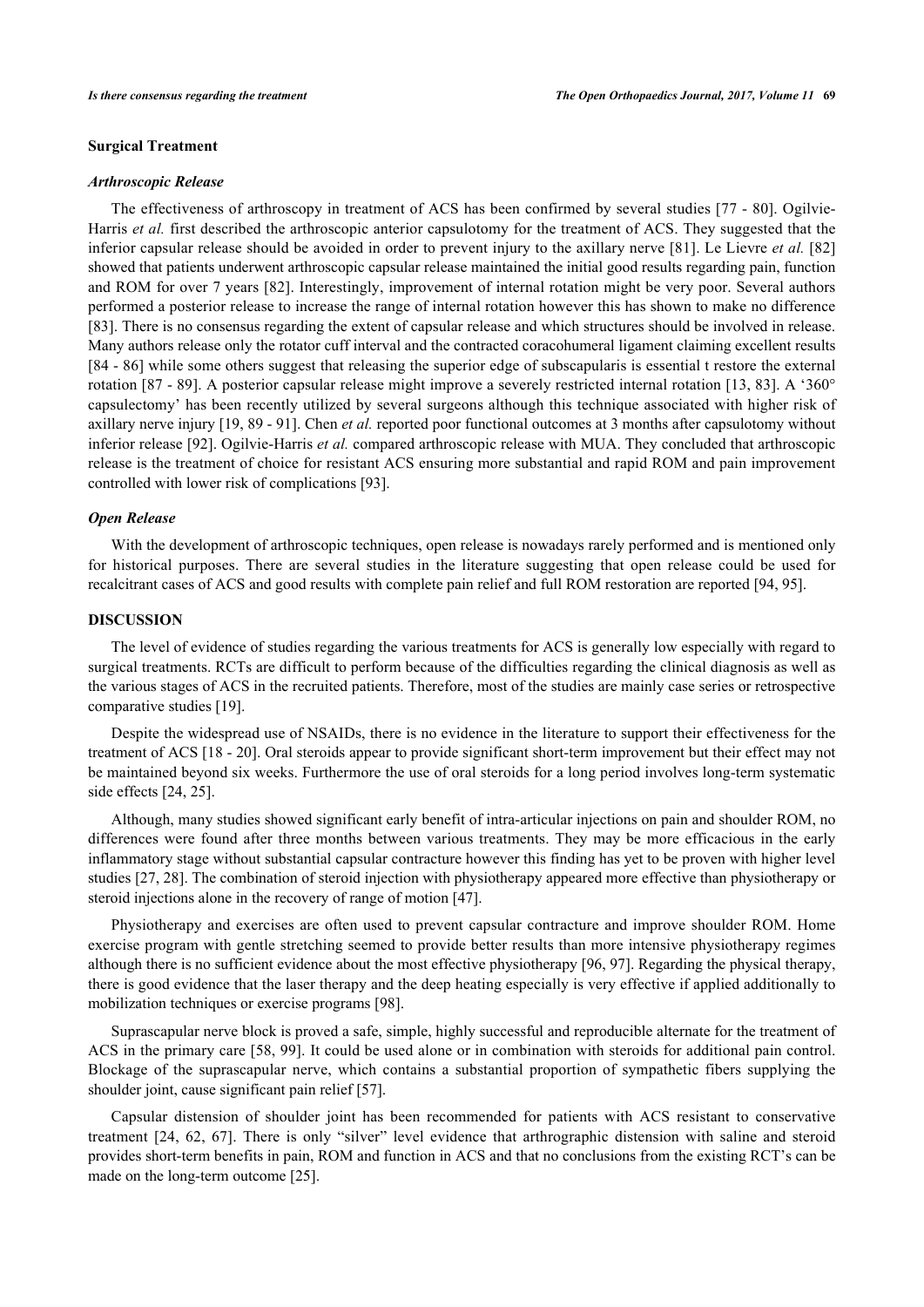#### **Surgical Treatment**

#### *Arthroscopic Release*

The effectiveness of arthroscopy in treatment of ACS has been confirmed by several studies [[77](#page-10-6) - [80](#page-10-7)]. Ogilvie-Harris *et al.* first described the arthroscopic anterior capsulotomy for the treatment of ACS. They suggested that the inferior capsular release should be avoided in order to prevent injury to the axillary nerve [[81](#page-10-8)]. Le Lievre *et al.* [[82](#page-10-9)] showed that patients underwent arthroscopic capsular release maintained the initial good results regarding pain, function and ROM for over 7 years [[82\]](#page-10-9). Interestingly, improvement of internal rotation might be very poor. Several authors performed a posterior release to increase the range of internal rotation however this has shown to make no difference [\[83](#page-10-10)]. There is no consensus regarding the extent of capsular release and which structures should be involved in release. Many authors release only the rotator cuff interval and the contracted coracohumeral ligament claiming excellent results [\[84](#page-10-11) - [86](#page-10-12)] while some others suggest that releasing the superior edge of subscapularis is essential t restore the external rotation [[87](#page-10-13) - [89](#page-10-14)]. A posterior capsular release might improve a severely restricted internal rotation [\[13](#page-7-6), [83\]](#page-10-10). A '360° capsulectomy' has been recently utilized by several surgeons although this technique associated with higher risk of axillary nerve injury [[19,](#page-7-12) [89](#page-10-14) - [91](#page-10-15)]. Chen *et al.* reported poor functional outcomes at 3 months after capsulotomy without inferior release [[92](#page-11-0)]. Ogilvie-Harris *et al.* compared arthroscopic release with MUA. They concluded that arthroscopic release is the treatment of choice for resistant ACS ensuring more substantial and rapid ROM and pain improvement controlled with lower risk of complications [[93\]](#page-11-1).

#### *Open Release*

With the development of arthroscopic techniques, open release is nowadays rarely performed and is mentioned only for historical purposes. There are several studies in the literature suggesting that open release could be used for recalcitrant cases of ACS and good results with complete pain relief and full ROM restoration are reported [\[94](#page-11-2), [95](#page-11-3)].

#### **DISCUSSION**

The level of evidence of studies regarding the various treatments for ACS is generally low especially with regard to surgical treatments. RCTs are difficult to perform because of the difficulties regarding the clinical diagnosis as well as the various stages of ACS in the recruited patients. Therefore, most of the studies are mainly case series or retrospective comparative studies [\[19](#page-7-12)].

Despite the widespread use of NSAIDs, there is no evidence in the literature to support their effectiveness for the treatment of ACS [[18](#page-7-11) - [20](#page-7-13)]. Oral steroids appear to provide significant short-term improvement but their effect may not be maintained beyond six weeks. Furthermore the use of oral steroids for a long period involves long-term systematic side effects [[24,](#page-7-16) [25\]](#page-7-15).

Although, many studies showed significant early benefit of intra-articular injections on pain and shoulder ROM, no differences were found after three months between various treatments. They may be more efficacious in the early inflammatory stage without substantial capsular contracture however this finding has yet to be proven with higher level studies [\[27](#page-7-18), [28](#page-7-19)]. The combination of steroid injection with physiotherapy appeared more effective than physiotherapy or steroid injections alone in the recovery of range of motion [[47\]](#page-8-14).

Physiotherapy and exercises are often used to prevent capsular contracture and improve shoulder ROM. Home exercise program with gentle stretching seemed to provide better results than more intensive physiotherapy regimes although there is no sufficient evidence about the most effective physiotherapy [\[96](#page-11-4), [97](#page-11-5)]. Regarding the physical therapy, there is good evidence that the laser therapy and the deep heating especially is very effective if applied additionally to mobilization techniques or exercise programs [[98\]](#page-11-6).

Suprascapular nerve block is proved a safe, simple, highly successful and reproducible alternate for the treatment of ACS in the primary care [[58](#page-9-7), [99\]](#page-11-7). It could be used alone or in combination with steroids for additional pain control. Blockage of the suprascapular nerve, which contains a substantial proportion of sympathetic fibers supplying the shoulder joint, cause significant pain relief [\[57](#page-9-6)].

Capsular distension of shoulder joint has been recommended for patients with ACS resistant to conservative treatment[[24](#page-7-16), [62,](#page-9-11) [67\]](#page-9-16). There is only "silver" level evidence that arthrographic distension with saline and steroid provides short-term benefits in pain, ROM and function in ACS and that no conclusions from the existing RCT's can be made on the long-term outcome [\[25](#page-7-15)].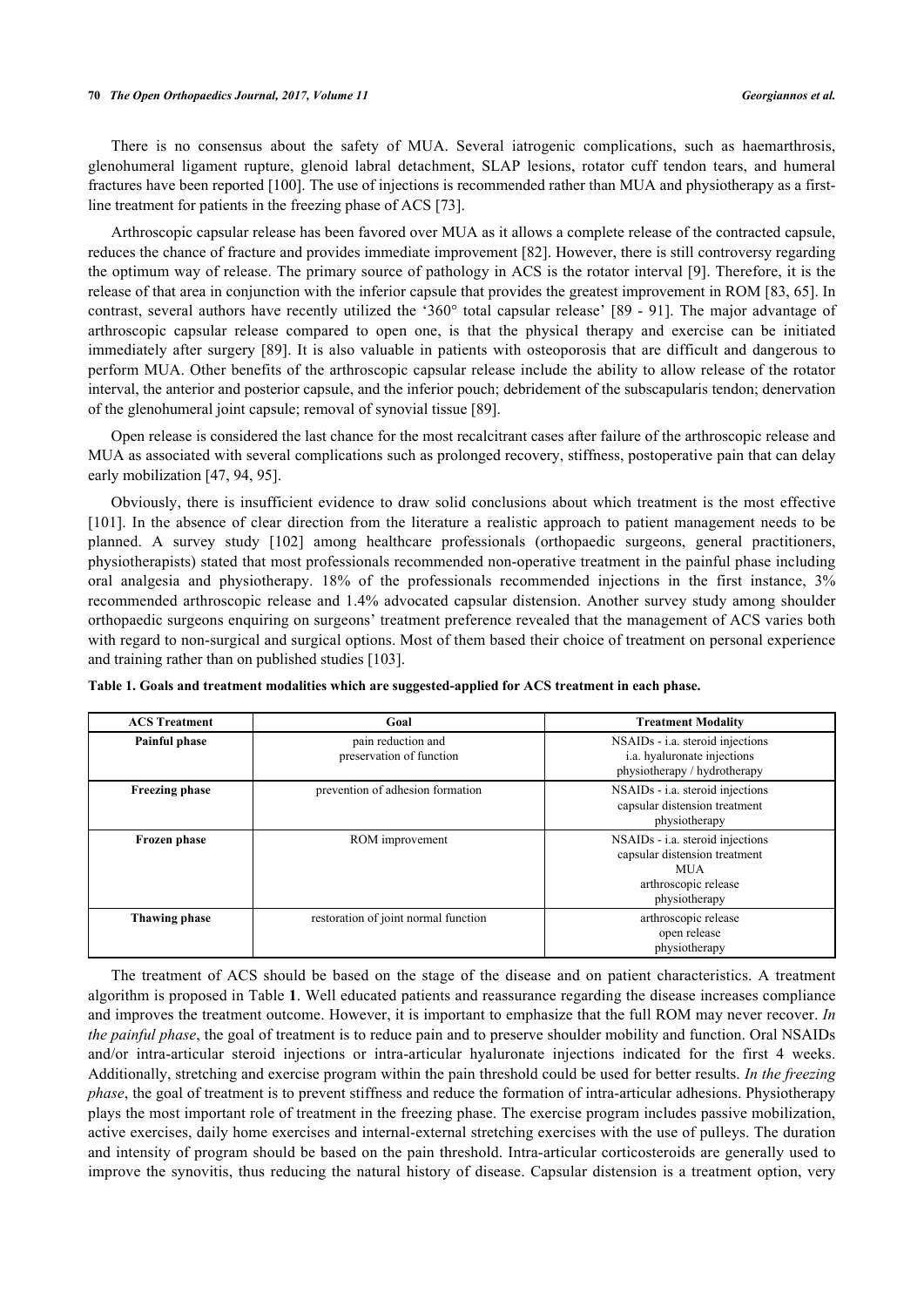There is no consensus about the safety of MUA. Several iatrogenic complications, such as haemarthrosis, glenohumeral ligament rupture, glenoid labral detachment, SLAP lesions, rotator cuff tendon tears, and humeral fractures have been reported [\[100](#page-11-8)]. The use of injections is recommended rather than MUA and physiotherapy as a firstline treatment for patients in the freezing phase of ACS [[73\]](#page-10-2).

Arthroscopic capsular release has been favored over MUA as it allows a complete release of the contracted capsule, reduces the chance of fracture and provides immediate improvement [[82\]](#page-10-9). However, there is still controversy regarding the optimum way of release. The primary source of pathology in ACS is the rotator interval [[9\]](#page-7-2). Therefore, it is the release of that area in conjunction with the inferior capsule that provides the greatest improvement in ROM [\[83,](#page-10-10) [65\]](#page-9-14). In contrast, several authors have recently utilized the '360° total capsular release' [\[89](#page-10-14) - [91](#page-10-15)]. The major advantage of arthroscopic capsular release compared to open one, is that the physical therapy and exercise can be initiated immediately after surgery [[89\]](#page-10-14). It is also valuable in patients with osteoporosis that are difficult and dangerous to perform MUA. Other benefits of the arthroscopic capsular release include the ability to allow release of the rotator interval, the anterior and posterior capsule, and the inferior pouch; debridement of the subscapularis tendon; denervation of the glenohumeral joint capsule; removal of synovial tissue [[89\]](#page-10-14).

Open release is considered the last chance for the most recalcitrant cases after failure of the arthroscopic release and MUA as associated with several complications such as prolonged recovery, stiffness, postoperative pain that can delay early mobilization [[47,](#page-8-14) [94,](#page-11-2) [95\]](#page-11-3).

Obviously, there is insufficient evidence to draw solid conclusions about which treatment is the most effective [\[101](#page-11-9)]. In the absence of clear direction from the literature a realistic approach to patient management needs to be planned. A survey study [\[102](#page-11-10)] among healthcare professionals (orthopaedic surgeons, general practitioners, physiotherapists) stated that most professionals recommended non-operative treatment in the painful phase including oral analgesia and physiotherapy. 18% of the professionals recommended injections in the first instance, 3% recommended arthroscopic release and 1.4% advocated capsular distension. Another survey study among shoulder orthopaedic surgeons enquiring on surgeons' treatment preference revealed that the management of ACS varies both with regard to non-surgical and surgical options. Most of them based their choice of treatment on personal experience and training rather than on published studies [\[103](#page-11-11)].

| <b>ACS Treatment</b>  | Goal                                                                                                                                      | <b>Treatment Modality</b>                                                                                                                   |
|-----------------------|-------------------------------------------------------------------------------------------------------------------------------------------|---------------------------------------------------------------------------------------------------------------------------------------------|
| Painful phase         | pain reduction and<br>preservation of function                                                                                            | NSAIDs - i.a. steroid injections<br>i.a. hyaluronate injections<br>physiotherapy / hydrotherapy                                             |
| <b>Freezing phase</b> | NSAID <sub>s</sub> - <i>i.a.</i> steroid injections<br>prevention of adhesion formation<br>capsular distension treatment<br>physiotherapy |                                                                                                                                             |
| Frozen phase          | ROM improvement                                                                                                                           | NSAID <sub>s</sub> - <i>i.a.</i> steroid injections<br>capsular distension treatment<br><b>MUA</b><br>arthroscopic release<br>physiotherapy |
| Thawing phase         | restoration of joint normal function                                                                                                      | arthroscopic release<br>open release<br>physiotherapy                                                                                       |

<span id="page-5-0"></span>**Table 1. Goals and treatment modalities which are suggested-applied for ACS treatment in each phase.**

The treatment of ACS should be based on the stage of the disease and on patient characteristics. A treatment algorithm is proposed in Table **[1](#page-5-0)**. Well educated patients and reassurance regarding the disease increases compliance and improves the treatment outcome. However, it is important to emphasize that the full ROM may never recover. *In the painful phase*, the goal of treatment is to reduce pain and to preserve shoulder mobility and function. Oral NSAIDs and/or intra-articular steroid injections or intra-articular hyaluronate injections indicated for the first 4 weeks. Additionally, stretching and exercise program within the pain threshold could be used for better results. *In the freezing phase*, the goal of treatment is to prevent stiffness and reduce the formation of intra-articular adhesions. Physiotherapy plays the most important role of treatment in the freezing phase. The exercise program includes passive mobilization, active exercises, daily home exercises and internal-external stretching exercises with the use of pulleys. The duration and intensity of program should be based on the pain threshold. Intra-articular corticosteroids are generally used to improve the synovitis, thus reducing the natural history of disease. Capsular distension is a treatment option, very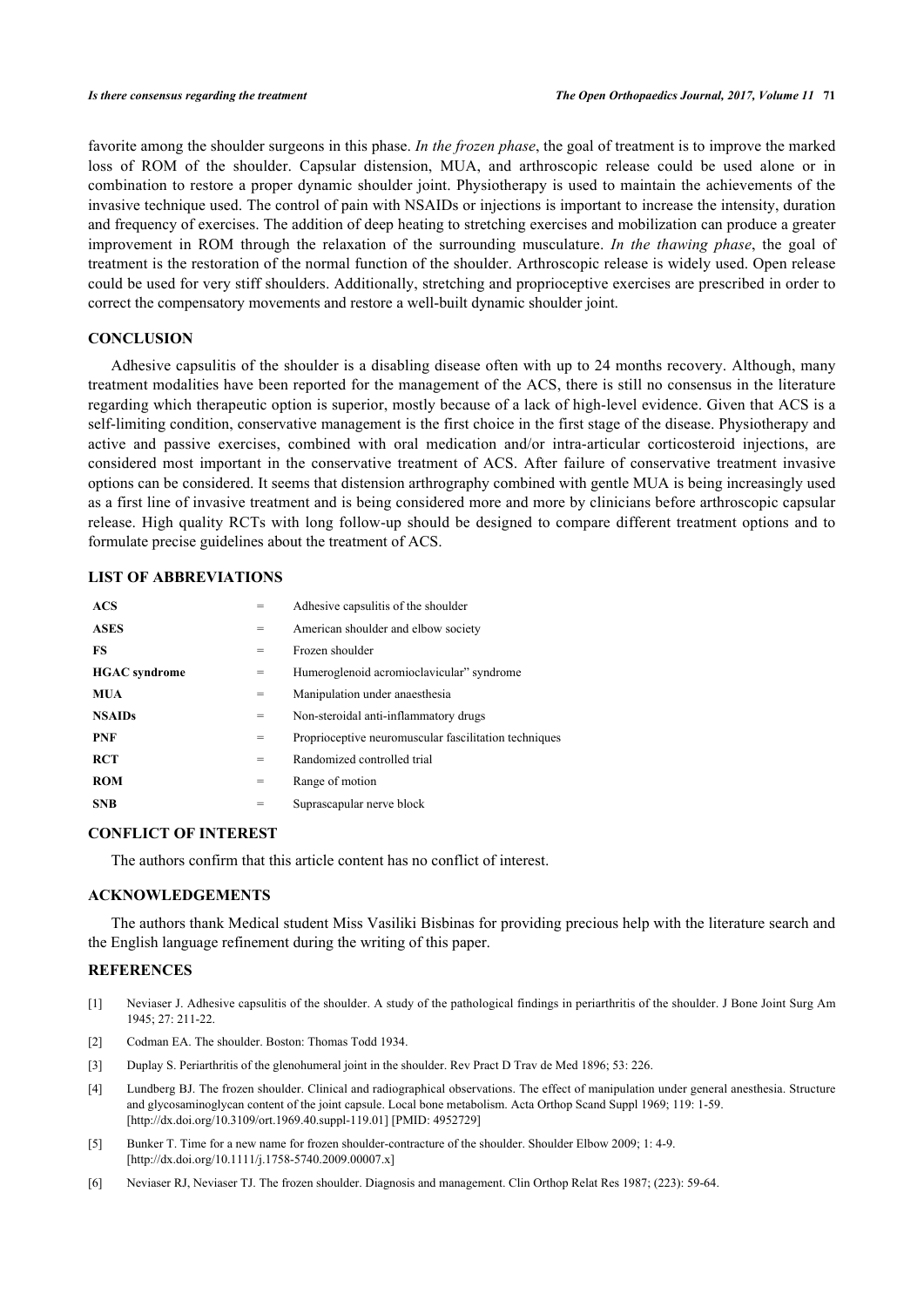favorite among the shoulder surgeons in this phase. *In the frozen phase*, the goal of treatment is to improve the marked loss of ROM of the shoulder. Capsular distension, MUA, and arthroscopic release could be used alone or in combination to restore a proper dynamic shoulder joint. Physiotherapy is used to maintain the achievements of the invasive technique used. The control of pain with NSAIDs or injections is important to increase the intensity, duration and frequency of exercises. The addition of deep heating to stretching exercises and mobilization can produce a greater improvement in ROM through the relaxation of the surrounding musculature. *In the thawing phase*, the goal of treatment is the restoration of the normal function of the shoulder. Arthroscopic release is widely used. Open release could be used for very stiff shoulders. Additionally, stretching and proprioceptive exercises are prescribed in order to correct the compensatory movements and restore a well-built dynamic shoulder joint.

#### **CONCLUSION**

Adhesive capsulitis of the shoulder is a disabling disease often with up to 24 months recovery. Although, many treatment modalities have been reported for the management of the ACS, there is still no consensus in the literature regarding which therapeutic option is superior, mostly because of a lack of high-level evidence. Given that ACS is a self-limiting condition, conservative management is the first choice in the first stage of the disease. Physiotherapy and active and passive exercises, combined with oral medication and/or intra-articular corticosteroid injections, are considered most important in the conservative treatment of ACS. After failure of conservative treatment invasive options can be considered. It seems that distension arthrography combined with gentle MUA is being increasingly used as a first line of invasive treatment and is being considered more and more by clinicians before arthroscopic capsular release. High quality RCTs with long follow-up should be designed to compare different treatment options and to formulate precise guidelines about the treatment of ACS.

### **LIST OF ABBREVIATIONS**

| <b>ACS</b>           |     | Adhesive capsulitis of the shoulder                   |
|----------------------|-----|-------------------------------------------------------|
| <b>ASES</b>          | $=$ | American shoulder and elbow society                   |
| <b>FS</b>            | $=$ | Frozen shoulder                                       |
| <b>HGAC</b> syndrome | $=$ | Humeroglenoid acromioclavicular" syndrome             |
| <b>MUA</b>           | $=$ | Manipulation under anaesthesia                        |
| <b>NSAIDs</b>        | $=$ | Non-steroidal anti-inflammatory drugs                 |
| <b>PNF</b>           | $=$ | Proprioceptive neuromuscular fascilitation techniques |
| <b>RCT</b>           | $=$ | Randomized controlled trial                           |
| <b>ROM</b>           | $=$ | Range of motion                                       |
| <b>SNB</b>           |     | Suprascapular nerve block                             |

#### **CONFLICT OF INTEREST**

The authors confirm that this article content has no conflict of interest.

#### **ACKNOWLEDGEMENTS**

The authors thank Medical student Miss Vasiliki Bisbinas for providing precious help with the literature search and the English language refinement during the writing of this paper.

#### **REFERENCES**

- <span id="page-6-0"></span>[1] Neviaser J. Adhesive capsulitis of the shoulder. A study of the pathological findings in periarthritis of the shoulder. J Bone Joint Surg Am 1945; 27: 211-22.
- <span id="page-6-1"></span>[2] Codman EA. The shoulder. Boston: Thomas Todd 1934.
- <span id="page-6-2"></span>[3] Duplay S. Periarthritis of the glenohumeral joint in the shoulder. Rev Pract D Trav de Med 1896; 53: 226.
- <span id="page-6-3"></span>[4] Lundberg BJ. The frozen shoulder. Clinical and radiographical observations. The effect of manipulation under general anesthesia. Structure and glycosaminoglycan content of the joint capsule. Local bone metabolism. Acta Orthop Scand Suppl 1969; 119: 1-59. [\[http://dx.doi.org/10.3109/ort.1969.40.suppl-119.01\]](http://dx.doi.org/10.3109/ort.1969.40.suppl-119.01) [PMID: [4952729](http://www.ncbi.nlm.nih.gov/pubmed/4952729)]
- <span id="page-6-4"></span>[5] Bunker T. Time for a new name for frozen shoulder-contracture of the shoulder. Shoulder Elbow 2009; 1: 4-9. [\[http://dx.doi.org/10.1111/j.1758-5740.2009.00007.x\]](http://dx.doi.org/10.1111/j.1758-5740.2009.00007.x)
- <span id="page-6-5"></span>[6] Neviaser RJ, Neviaser TJ. The frozen shoulder. Diagnosis and management. Clin Orthop Relat Res 1987; (223): 59-64.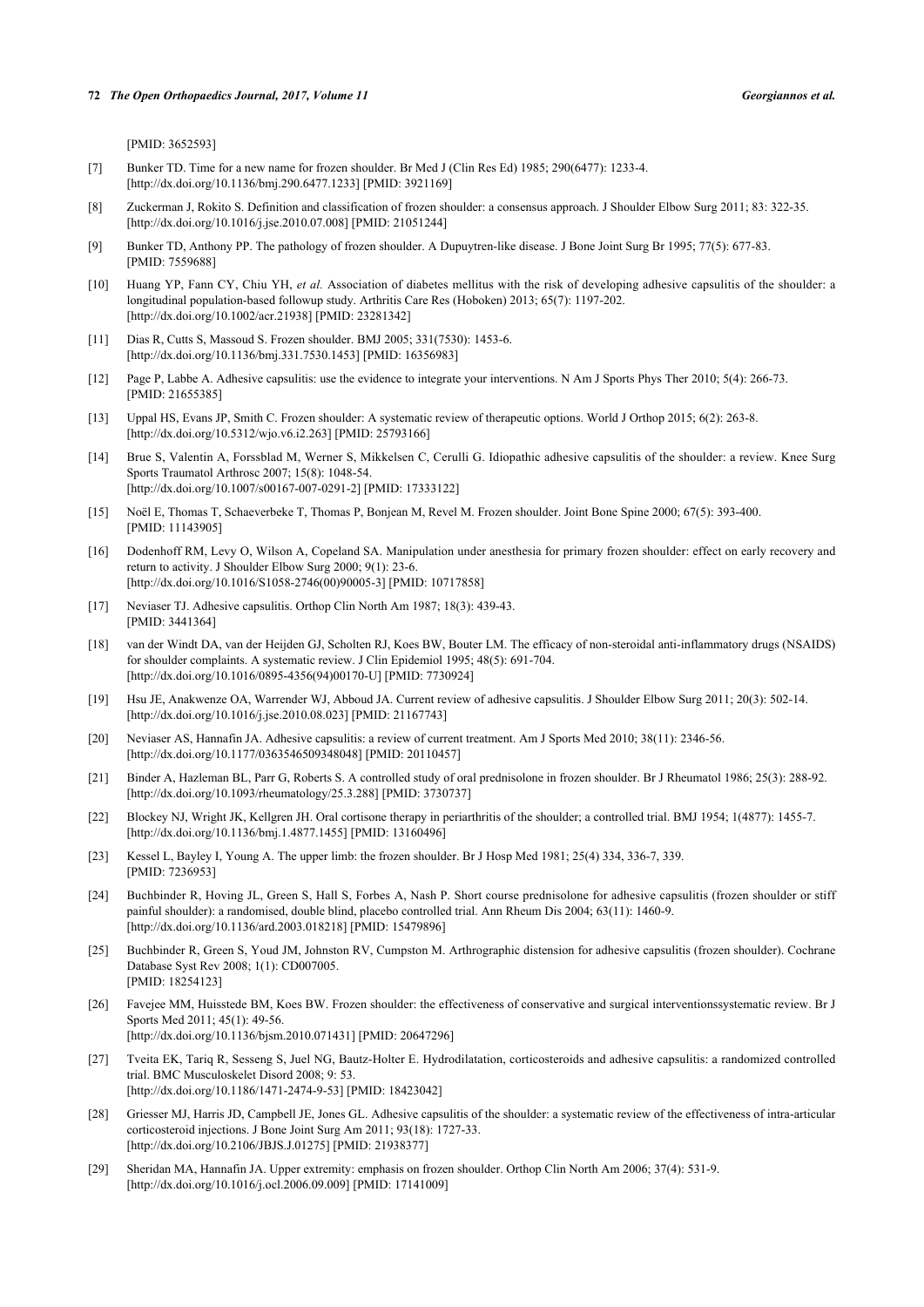[PMID: [3652593\]](http://www.ncbi.nlm.nih.gov/pubmed/3652593)

- <span id="page-7-0"></span>[7] Bunker TD. Time for a new name for frozen shoulder. Br Med J (Clin Res Ed) 1985; 290(6477): 1233-4. [\[http://dx.doi.org/10.1136/bmj.290.6477.1233](http://dx.doi.org/10.1136/bmj.290.6477.1233)] [PMID: [3921169\]](http://www.ncbi.nlm.nih.gov/pubmed/3921169)
- <span id="page-7-1"></span>[8] Zuckerman J, Rokito S. Definition and classification of frozen shoulder: a consensus approach. J Shoulder Elbow Surg 2011; 83: 322-35. [\[http://dx.doi.org/10.1016/j.jse.2010.07.008\]](http://dx.doi.org/10.1016/j.jse.2010.07.008) [PMID: [21051244](http://www.ncbi.nlm.nih.gov/pubmed/21051244)]
- <span id="page-7-2"></span>[9] Bunker TD, Anthony PP. The pathology of frozen shoulder. A Dupuytren-like disease. J Bone Joint Surg Br 1995; 77(5): 677-83. [PMID: [7559688\]](http://www.ncbi.nlm.nih.gov/pubmed/7559688)
- <span id="page-7-3"></span>[10] Huang YP, Fann CY, Chiu YH, *et al.* Association of diabetes mellitus with the risk of developing adhesive capsulitis of the shoulder: a longitudinal population-based followup study. Arthritis Care Res (Hoboken) 2013; 65(7): 1197-202. [\[http://dx.doi.org/10.1002/acr.21938\]](http://dx.doi.org/10.1002/acr.21938) [PMID: [23281342](http://www.ncbi.nlm.nih.gov/pubmed/23281342)]
- <span id="page-7-4"></span>[11] Dias R, Cutts S, Massoud S. Frozen shoulder. BMJ 2005; 331(7530): 1453-6. [\[http://dx.doi.org/10.1136/bmj.331.7530.1453](http://dx.doi.org/10.1136/bmj.331.7530.1453)] [PMID: [16356983\]](http://www.ncbi.nlm.nih.gov/pubmed/16356983)
- <span id="page-7-5"></span>[12] Page P, Labbe A. Adhesive capsulitis: use the evidence to integrate your interventions. N Am J Sports Phys Ther 2010; 5(4): 266-73. [PMID: [21655385\]](http://www.ncbi.nlm.nih.gov/pubmed/21655385)
- <span id="page-7-6"></span>[13] Uppal HS, Evans JP, Smith C. Frozen shoulder: A systematic review of therapeutic options. World J Orthop 2015; 6(2): 263-8. [\[http://dx.doi.org/10.5312/wjo.v6.i2.263](http://dx.doi.org/10.5312/wjo.v6.i2.263)] [PMID: [25793166\]](http://www.ncbi.nlm.nih.gov/pubmed/25793166)
- <span id="page-7-7"></span>[14] Brue S, Valentin A, Forssblad M, Werner S, Mikkelsen C, Cerulli G. Idiopathic adhesive capsulitis of the shoulder: a review. Knee Surg Sports Traumatol Arthrosc 2007; 15(8): 1048-54. [\[http://dx.doi.org/10.1007/s00167-007-0291-2\]](http://dx.doi.org/10.1007/s00167-007-0291-2) [PMID: [17333122](http://www.ncbi.nlm.nih.gov/pubmed/17333122)]
- <span id="page-7-8"></span>[15] Noël E, Thomas T, Schaeverbeke T, Thomas P, Bonjean M, Revel M. Frozen shoulder. Joint Bone Spine 2000; 67(5): 393-400. [PMID: [11143905\]](http://www.ncbi.nlm.nih.gov/pubmed/11143905)
- <span id="page-7-9"></span>[16] Dodenhoff RM, Levy O, Wilson A, Copeland SA. Manipulation under anesthesia for primary frozen shoulder: effect on early recovery and return to activity. J Shoulder Elbow Surg 2000; 9(1): 23-6. [\[http://dx.doi.org/10.1016/S1058-2746\(00\)90005-3\]](http://dx.doi.org/10.1016/S1058-2746(00)90005-3) [PMID: [10717858](http://www.ncbi.nlm.nih.gov/pubmed/10717858)]
- <span id="page-7-10"></span>[17] Neviaser TJ. Adhesive capsulitis. Orthop Clin North Am 1987; 18(3): 439-43. [PMID: [3441364\]](http://www.ncbi.nlm.nih.gov/pubmed/3441364)
- <span id="page-7-11"></span>[18] van der Windt DA, van der Heijden GJ, Scholten RJ, Koes BW, Bouter LM. The efficacy of non-steroidal anti-inflammatory drugs (NSAIDS) for shoulder complaints. A systematic review. J Clin Epidemiol 1995; 48(5): 691-704. [\[http://dx.doi.org/10.1016/0895-4356\(94\)00170-U](http://dx.doi.org/10.1016/0895-4356(94)00170-U)] [PMID: [7730924\]](http://www.ncbi.nlm.nih.gov/pubmed/7730924)
- <span id="page-7-12"></span>[19] Hsu JE, Anakwenze OA, Warrender WJ, Abboud JA. Current review of adhesive capsulitis. J Shoulder Elbow Surg 2011; 20(3): 502-14. [\[http://dx.doi.org/10.1016/j.jse.2010.08.023\]](http://dx.doi.org/10.1016/j.jse.2010.08.023) [PMID: [21167743](http://www.ncbi.nlm.nih.gov/pubmed/21167743)]
- <span id="page-7-13"></span>[20] Neviaser AS, Hannafin JA. Adhesive capsulitis: a review of current treatment. Am J Sports Med 2010; 38(11): 2346-56. [\[http://dx.doi.org/10.1177/0363546509348048\]](http://dx.doi.org/10.1177/0363546509348048) [PMID: [20110457](http://www.ncbi.nlm.nih.gov/pubmed/20110457)]
- <span id="page-7-14"></span>[21] Binder A, Hazleman BL, Parr G, Roberts S. A controlled study of oral prednisolone in frozen shoulder. Br J Rheumatol 1986; 25(3): 288-92. [\[http://dx.doi.org/10.1093/rheumatology/25.3.288](http://dx.doi.org/10.1093/rheumatology/25.3.288)] [PMID: [3730737](http://www.ncbi.nlm.nih.gov/pubmed/3730737)]
- [22] Blockey NJ, Wright JK, Kellgren JH. Oral cortisone therapy in periarthritis of the shoulder; a controlled trial. BMJ 1954; 1(4877): 1455-7. [\[http://dx.doi.org/10.1136/bmj.1.4877.1455](http://dx.doi.org/10.1136/bmj.1.4877.1455)] [PMID: [13160496\]](http://www.ncbi.nlm.nih.gov/pubmed/13160496)
- [23] Kessel L, Bayley I, Young A. The upper limb: the frozen shoulder. Br J Hosp Med 1981; 25(4) 334, 336-7, 339. [PMID: [7236953\]](http://www.ncbi.nlm.nih.gov/pubmed/7236953)
- <span id="page-7-16"></span>[24] Buchbinder R, Hoving JL, Green S, Hall S, Forbes A, Nash P. Short course prednisolone for adhesive capsulitis (frozen shoulder or stiff painful shoulder): a randomised, double blind, placebo controlled trial. Ann Rheum Dis 2004; 63(11): 1460-9. [\[http://dx.doi.org/10.1136/ard.2003.018218](http://dx.doi.org/10.1136/ard.2003.018218)] [PMID: [15479896\]](http://www.ncbi.nlm.nih.gov/pubmed/15479896)
- <span id="page-7-15"></span>[25] Buchbinder R, Green S, Youd JM, Johnston RV, Cumpston M. Arthrographic distension for adhesive capsulitis (frozen shoulder). Cochrane Database Syst Rev 2008; 1(1): CD007005. [PMID: [18254123\]](http://www.ncbi.nlm.nih.gov/pubmed/18254123)
- <span id="page-7-17"></span>[26] Favejee MM, Huisstede BM, Koes BW. Frozen shoulder: the effectiveness of conservative and surgical interventionssystematic review. Br J Sports Med 2011; 45(1): 49-56.

[\[http://dx.doi.org/10.1136/bjsm.2010.071431](http://dx.doi.org/10.1136/bjsm.2010.071431)] [PMID: [20647296\]](http://www.ncbi.nlm.nih.gov/pubmed/20647296)

- <span id="page-7-18"></span>[27] Tveita EK, Tariq R, Sesseng S, Juel NG, Bautz-Holter E. Hydrodilatation, corticosteroids and adhesive capsulitis: a randomized controlled trial. BMC Musculoskelet Disord 2008; 9: 53. [\[http://dx.doi.org/10.1186/1471-2474-9-53\]](http://dx.doi.org/10.1186/1471-2474-9-53) [PMID: [18423042](http://www.ncbi.nlm.nih.gov/pubmed/18423042)]
- <span id="page-7-19"></span>[28] Griesser MJ, Harris JD, Campbell JE, Jones GL. Adhesive capsulitis of the shoulder: a systematic review of the effectiveness of intra-articular corticosteroid injections. J Bone Joint Surg Am 2011; 93(18): 1727-33. [\[http://dx.doi.org/10.2106/JBJS.J.01275\]](http://dx.doi.org/10.2106/JBJS.J.01275) [PMID: [21938377](http://www.ncbi.nlm.nih.gov/pubmed/21938377)]
- <span id="page-7-20"></span>[29] Sheridan MA, Hannafin JA. Upper extremity: emphasis on frozen shoulder. Orthop Clin North Am 2006; 37(4): 531-9. [\[http://dx.doi.org/10.1016/j.ocl.2006.09.009\]](http://dx.doi.org/10.1016/j.ocl.2006.09.009) [PMID: [17141009](http://www.ncbi.nlm.nih.gov/pubmed/17141009)]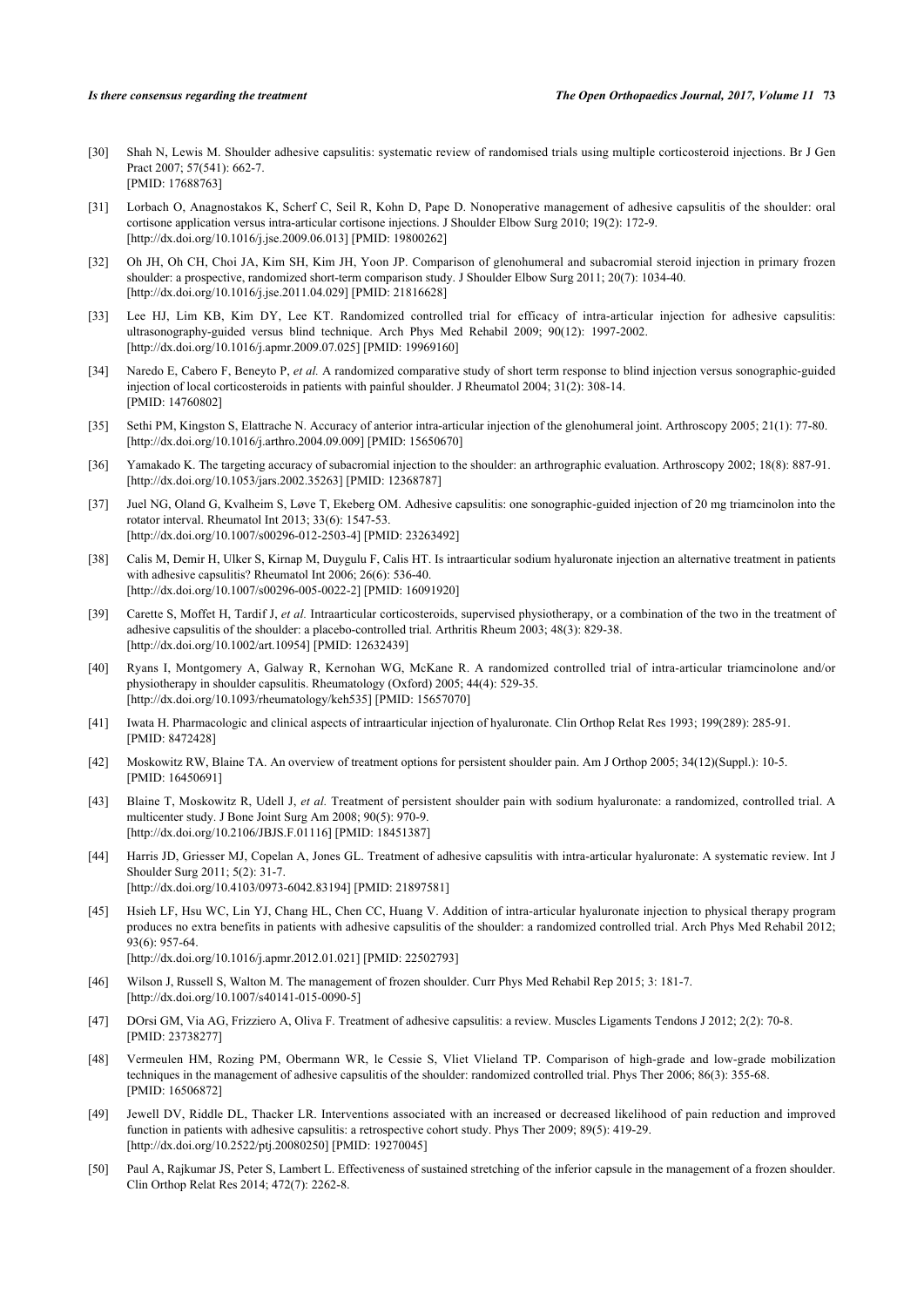- <span id="page-8-0"></span>[30] Shah N, Lewis M. Shoulder adhesive capsulitis: systematic review of randomised trials using multiple corticosteroid injections. Br J Gen Pract 2007; 57(541): 662-7. [PMID: [17688763\]](http://www.ncbi.nlm.nih.gov/pubmed/17688763)
- <span id="page-8-1"></span>[31] Lorbach O, Anagnostakos K, Scherf C, Seil R, Kohn D, Pape D. Nonoperative management of adhesive capsulitis of the shoulder: oral cortisone application versus intra-articular cortisone injections. J Shoulder Elbow Surg 2010; 19(2): 172-9. [\[http://dx.doi.org/10.1016/j.jse.2009.06.013\]](http://dx.doi.org/10.1016/j.jse.2009.06.013) [PMID: [19800262](http://www.ncbi.nlm.nih.gov/pubmed/19800262)]
- <span id="page-8-2"></span>[32] Oh JH, Oh CH, Choi JA, Kim SH, Kim JH, Yoon JP. Comparison of glenohumeral and subacromial steroid injection in primary frozen shoulder: a prospective, randomized short-term comparison study. J Shoulder Elbow Surg 2011; 20(7): 1034-40. [\[http://dx.doi.org/10.1016/j.jse.2011.04.029\]](http://dx.doi.org/10.1016/j.jse.2011.04.029) [PMID: [21816628](http://www.ncbi.nlm.nih.gov/pubmed/21816628)]
- <span id="page-8-3"></span>[33] Lee HJ, Lim KB, Kim DY, Lee KT. Randomized controlled trial for efficacy of intra-articular injection for adhesive capsulitis: ultrasonography-guided versus blind technique. Arch Phys Med Rehabil 2009; 90(12): 1997-2002. [\[http://dx.doi.org/10.1016/j.apmr.2009.07.025](http://dx.doi.org/10.1016/j.apmr.2009.07.025)] [PMID: [19969160](http://www.ncbi.nlm.nih.gov/pubmed/19969160)]
- [34] Naredo E, Cabero F, Beneyto P, *et al.* A randomized comparative study of short term response to blind injection versus sonographic-guided injection of local corticosteroids in patients with painful shoulder. J Rheumatol 2004; 31(2): 308-14. [PMID: [14760802\]](http://www.ncbi.nlm.nih.gov/pubmed/14760802)
- [35] Sethi PM, Kingston S, Elattrache N. Accuracy of anterior intra-articular injection of the glenohumeral joint. Arthroscopy 2005; 21(1): 77-80. [\[http://dx.doi.org/10.1016/j.arthro.2004.09.009](http://dx.doi.org/10.1016/j.arthro.2004.09.009)] [PMID: [15650670\]](http://www.ncbi.nlm.nih.gov/pubmed/15650670)
- <span id="page-8-4"></span>[36] Yamakado K. The targeting accuracy of subacromial injection to the shoulder: an arthrographic evaluation. Arthroscopy 2002; 18(8): 887-91. [\[http://dx.doi.org/10.1053/jars.2002.35263](http://dx.doi.org/10.1053/jars.2002.35263)] [PMID: [12368787\]](http://www.ncbi.nlm.nih.gov/pubmed/12368787)
- <span id="page-8-5"></span>[37] Juel NG, Oland G, Kvalheim S, Løve T, Ekeberg OM. Adhesive capsulitis: one sonographic-guided injection of 20 mg triamcinolon into the rotator interval. Rheumatol Int 2013; 33(6): 1547-53. [\[http://dx.doi.org/10.1007/s00296-012-2503-4\]](http://dx.doi.org/10.1007/s00296-012-2503-4) [PMID: [23263492](http://www.ncbi.nlm.nih.gov/pubmed/23263492)]
- <span id="page-8-6"></span>[38] Calis M, Demir H, Ulker S, Kirnap M, Duygulu F, Calis HT. Is intraarticular sodium hyaluronate injection an alternative treatment in patients with adhesive capsulitis? Rheumatol Int 2006; 26(6): 536-40. [\[http://dx.doi.org/10.1007/s00296-005-0022-2\]](http://dx.doi.org/10.1007/s00296-005-0022-2) [PMID: [16091920](http://www.ncbi.nlm.nih.gov/pubmed/16091920)]
- [39] Carette S, Moffet H, Tardif J, et al. Intraarticular corticosteroids, supervised physiotherapy, or a combination of the two in the treatment of adhesive capsulitis of the shoulder: a placebo-controlled trial. Arthritis Rheum 2003; 48(3): 829-38. [\[http://dx.doi.org/10.1002/art.10954](http://dx.doi.org/10.1002/art.10954)] [PMID: [12632439\]](http://www.ncbi.nlm.nih.gov/pubmed/12632439)
- <span id="page-8-7"></span>[40] Ryans I, Montgomery A, Galway R, Kernohan WG, McKane R. A randomized controlled trial of intra-articular triamcinolone and/or physiotherapy in shoulder capsulitis. Rheumatology (Oxford) 2005; 44(4): 529-35. [\[http://dx.doi.org/10.1093/rheumatology/keh535](http://dx.doi.org/10.1093/rheumatology/keh535)] [PMID: [15657070\]](http://www.ncbi.nlm.nih.gov/pubmed/15657070)
- <span id="page-8-8"></span>[41] Iwata H. Pharmacologic and clinical aspects of intraarticular injection of hyaluronate. Clin Orthop Relat Res 1993; 199(289): 285-91. [PMID: [8472428\]](http://www.ncbi.nlm.nih.gov/pubmed/8472428)
- <span id="page-8-9"></span>[42] Moskowitz RW, Blaine TA. An overview of treatment options for persistent shoulder pain. Am J Orthop 2005; 34(12)(Suppl.): 10-5. [PMID: [16450691\]](http://www.ncbi.nlm.nih.gov/pubmed/16450691)
- <span id="page-8-10"></span>[43] Blaine T, Moskowitz R, Udell J, *et al.* Treatment of persistent shoulder pain with sodium hyaluronate: a randomized, controlled trial. A multicenter study. J Bone Joint Surg Am 2008; 90(5): 970-9. [\[http://dx.doi.org/10.2106/JBJS.F.01116](http://dx.doi.org/10.2106/JBJS.F.01116)] [PMID: [18451387\]](http://www.ncbi.nlm.nih.gov/pubmed/18451387)
- <span id="page-8-11"></span>[44] Harris JD, Griesser MJ, Copelan A, Jones GL. Treatment of adhesive capsulitis with intra-articular hyaluronate: A systematic review. Int J Shoulder Surg 2011; 5(2): 31-7. [\[http://dx.doi.org/10.4103/0973-6042.83194](http://dx.doi.org/10.4103/0973-6042.83194)] [PMID: [21897581](http://www.ncbi.nlm.nih.gov/pubmed/21897581)]
- <span id="page-8-12"></span>[45] Hsieh LF, Hsu WC, Lin YJ, Chang HL, Chen CC, Huang V. Addition of intra-articular hyaluronate injection to physical therapy program produces no extra benefits in patients with adhesive capsulitis of the shoulder: a randomized controlled trial. Arch Phys Med Rehabil 2012;  $93(6)$ : 957-64.

[\[http://dx.doi.org/10.1016/j.apmr.2012.01.021](http://dx.doi.org/10.1016/j.apmr.2012.01.021)] [PMID: [22502793](http://www.ncbi.nlm.nih.gov/pubmed/22502793)]

- <span id="page-8-13"></span>[46] Wilson J, Russell S, Walton M. The management of frozen shoulder. Curr Phys Med Rehabil Rep 2015; 3: 181-7. [\[http://dx.doi.org/10.1007/s40141-015-0090-5\]](http://dx.doi.org/10.1007/s40141-015-0090-5)
- <span id="page-8-14"></span>[47] DOrsi GM, Via AG, Frizziero A, Oliva F. Treatment of adhesive capsulitis: a review. Muscles Ligaments Tendons J 2012; 2(2): 70-8. [PMID: [23738277\]](http://www.ncbi.nlm.nih.gov/pubmed/23738277)
- <span id="page-8-15"></span>[48] Vermeulen HM, Rozing PM, Obermann WR, le Cessie S, Vliet Vlieland TP. Comparison of high-grade and low-grade mobilization techniques in the management of adhesive capsulitis of the shoulder: randomized controlled trial. Phys Ther 2006; 86(3): 355-68. [PMID: [16506872\]](http://www.ncbi.nlm.nih.gov/pubmed/16506872)
- <span id="page-8-16"></span>[49] Jewell DV, Riddle DL, Thacker LR. Interventions associated with an increased or decreased likelihood of pain reduction and improved function in patients with adhesive capsulitis: a retrospective cohort study. Phys Ther 2009; 89(5): 419-29. [\[http://dx.doi.org/10.2522/ptj.20080250](http://dx.doi.org/10.2522/ptj.20080250)] [PMID: [19270045\]](http://www.ncbi.nlm.nih.gov/pubmed/19270045)
- <span id="page-8-17"></span>[50] Paul A, Rajkumar JS, Peter S, Lambert L. Effectiveness of sustained stretching of the inferior capsule in the management of a frozen shoulder. Clin Orthop Relat Res 2014; 472(7): 2262-8.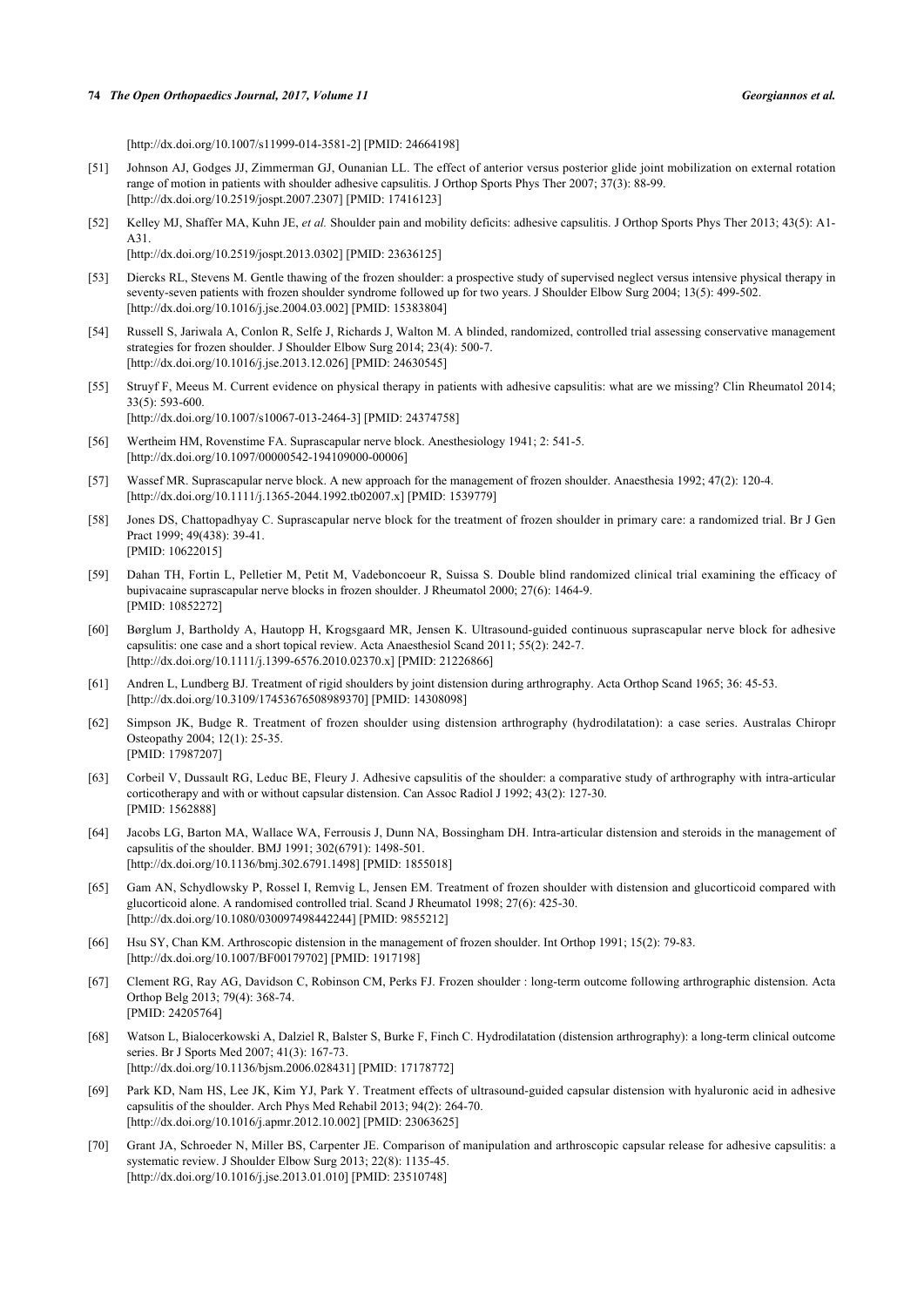[\[http://dx.doi.org/10.1007/s11999-014-3581-2\]](http://dx.doi.org/10.1007/s11999-014-3581-2) [PMID: [24664198](http://www.ncbi.nlm.nih.gov/pubmed/24664198)]

- <span id="page-9-0"></span>[51] Johnson AJ, Godges JJ, Zimmerman GJ, Ounanian LL. The effect of anterior versus posterior glide joint mobilization on external rotation range of motion in patients with shoulder adhesive capsulitis. J Orthop Sports Phys Ther 2007; 37(3): 88-99. [\[http://dx.doi.org/10.2519/jospt.2007.2307](http://dx.doi.org/10.2519/jospt.2007.2307)] [PMID: [17416123\]](http://www.ncbi.nlm.nih.gov/pubmed/17416123)
- <span id="page-9-1"></span>[52] Kelley MJ, Shaffer MA, Kuhn JE, *et al.* Shoulder pain and mobility deficits: adhesive capsulitis. J Orthop Sports Phys Ther 2013; 43(5): A1- A31.

[\[http://dx.doi.org/10.2519/jospt.2013.0302](http://dx.doi.org/10.2519/jospt.2013.0302)] [PMID: [23636125\]](http://www.ncbi.nlm.nih.gov/pubmed/23636125)

- <span id="page-9-2"></span>[53] Diercks RL, Stevens M. Gentle thawing of the frozen shoulder: a prospective study of supervised neglect versus intensive physical therapy in seventy-seven patients with frozen shoulder syndrome followed up for two years. J Shoulder Elbow Surg 2004; 13(5): 499-502. [\[http://dx.doi.org/10.1016/j.jse.2004.03.002\]](http://dx.doi.org/10.1016/j.jse.2004.03.002) [PMID: [15383804](http://www.ncbi.nlm.nih.gov/pubmed/15383804)]
- <span id="page-9-3"></span>[54] Russell S, Jariwala A, Conlon R, Selfe J, Richards J, Walton M. A blinded, randomized, controlled trial assessing conservative management strategies for frozen shoulder. J Shoulder Elbow Surg 2014; 23(4): 500-7. [\[http://dx.doi.org/10.1016/j.jse.2013.12.026\]](http://dx.doi.org/10.1016/j.jse.2013.12.026) [PMID: [24630545](http://www.ncbi.nlm.nih.gov/pubmed/24630545)]
- <span id="page-9-4"></span>[55] Struyf F, Meeus M. Current evidence on physical therapy in patients with adhesive capsulitis: what are we missing? Clin Rheumatol 2014; 33(5): 593-600. [\[http://dx.doi.org/10.1007/s10067-013-2464-3\]](http://dx.doi.org/10.1007/s10067-013-2464-3) [PMID: [24374758](http://www.ncbi.nlm.nih.gov/pubmed/24374758)]
- <span id="page-9-5"></span>[56] Wertheim HM, Rovenstime FA. Suprascapular nerve block. Anesthesiology 1941; 2: 541-5. [\[http://dx.doi.org/10.1097/00000542-194109000-00006](http://dx.doi.org/10.1097/00000542-194109000-00006)]
- <span id="page-9-6"></span>[57] Wassef MR. Suprascapular nerve block. A new approach for the management of frozen shoulder. Anaesthesia 1992; 47(2): 120-4. [\[http://dx.doi.org/10.1111/j.1365-2044.1992.tb02007.x\]](http://dx.doi.org/10.1111/j.1365-2044.1992.tb02007.x) [PMID: [1539779](http://www.ncbi.nlm.nih.gov/pubmed/1539779)]
- <span id="page-9-7"></span>[58] Jones DS, Chattopadhyay C. Suprascapular nerve block for the treatment of frozen shoulder in primary care: a randomized trial. Br J Gen Pract 1999; 49(438): 39-41. [PMID: [10622015\]](http://www.ncbi.nlm.nih.gov/pubmed/10622015)
- <span id="page-9-8"></span>[59] Dahan TH, Fortin L, Pelletier M, Petit M, Vadeboncoeur R, Suissa S. Double blind randomized clinical trial examining the efficacy of bupivacaine suprascapular nerve blocks in frozen shoulder. J Rheumatol 2000; 27(6): 1464-9. [PMID: [10852272\]](http://www.ncbi.nlm.nih.gov/pubmed/10852272)
- <span id="page-9-9"></span>[60] Børglum J, Bartholdy A, Hautopp H, Krogsgaard MR, Jensen K. Ultrasound-guided continuous suprascapular nerve block for adhesive capsulitis: one case and a short topical review. Acta Anaesthesiol Scand 2011; 55(2): 242-7. [\[http://dx.doi.org/10.1111/j.1399-6576.2010.02370.x\]](http://dx.doi.org/10.1111/j.1399-6576.2010.02370.x) [PMID: [21226866](http://www.ncbi.nlm.nih.gov/pubmed/21226866)]
- <span id="page-9-10"></span>[61] Andren L, Lundberg BJ. Treatment of rigid shoulders by joint distension during arthrography. Acta Orthop Scand 1965; 36: 45-53. [\[http://dx.doi.org/10.3109/17453676508989370\]](http://dx.doi.org/10.3109/17453676508989370) [PMID: [14308098](http://www.ncbi.nlm.nih.gov/pubmed/14308098)]
- <span id="page-9-11"></span>[62] Simpson JK, Budge R. Treatment of frozen shoulder using distension arthrography (hydrodilatation): a case series. Australas Chiropr Osteopathy 2004; 12(1): 25-35. [PMID: [17987207\]](http://www.ncbi.nlm.nih.gov/pubmed/17987207)
- <span id="page-9-12"></span>[63] Corbeil V, Dussault RG, Leduc BE, Fleury J. Adhesive capsulitis of the shoulder: a comparative study of arthrography with intra-articular corticotherapy and with or without capsular distension. Can Assoc Radiol J 1992; 43(2): 127-30. [PMID: [1562888\]](http://www.ncbi.nlm.nih.gov/pubmed/1562888)
- <span id="page-9-13"></span>[64] Jacobs LG, Barton MA, Wallace WA, Ferrousis J, Dunn NA, Bossingham DH. Intra-articular distension and steroids in the management of capsulitis of the shoulder. BMJ 1991; 302(6791): 1498-501. [\[http://dx.doi.org/10.1136/bmj.302.6791.1498](http://dx.doi.org/10.1136/bmj.302.6791.1498)] [PMID: [1855018\]](http://www.ncbi.nlm.nih.gov/pubmed/1855018)
- <span id="page-9-14"></span>[65] Gam AN, Schydlowsky P, Rossel I, Remvig L, Jensen EM. Treatment of frozen shoulder with distension and glucorticoid compared with glucorticoid alone. A randomised controlled trial. Scand J Rheumatol 1998; 27(6): 425-30. [\[http://dx.doi.org/10.1080/030097498442244\]](http://dx.doi.org/10.1080/030097498442244) [PMID: [9855212](http://www.ncbi.nlm.nih.gov/pubmed/9855212)]
- <span id="page-9-15"></span>[66] Hsu SY, Chan KM. Arthroscopic distension in the management of frozen shoulder. Int Orthop 1991; 15(2): 79-83. [\[http://dx.doi.org/10.1007/BF00179702\]](http://dx.doi.org/10.1007/BF00179702) [PMID: [1917198](http://www.ncbi.nlm.nih.gov/pubmed/1917198)]
- <span id="page-9-16"></span>[67] Clement RG, Ray AG, Davidson C, Robinson CM, Perks FJ. Frozen shoulder : long-term outcome following arthrographic distension. Acta Orthop Belg 2013; 79(4): 368-74. [PMID: [24205764\]](http://www.ncbi.nlm.nih.gov/pubmed/24205764)
- <span id="page-9-17"></span>[68] Watson L, Bialocerkowski A, Dalziel R, Balster S, Burke F, Finch C. Hydrodilatation (distension arthrography): a long-term clinical outcome series. Br J Sports Med 2007; 41(3): 167-73. [\[http://dx.doi.org/10.1136/bjsm.2006.028431](http://dx.doi.org/10.1136/bjsm.2006.028431)] [PMID: [17178772\]](http://www.ncbi.nlm.nih.gov/pubmed/17178772)
- <span id="page-9-18"></span>[69] Park KD, Nam HS, Lee JK, Kim YJ, Park Y. Treatment effects of ultrasound-guided capsular distension with hyaluronic acid in adhesive capsulitis of the shoulder. Arch Phys Med Rehabil 2013; 94(2): 264-70. [\[http://dx.doi.org/10.1016/j.apmr.2012.10.002](http://dx.doi.org/10.1016/j.apmr.2012.10.002)] [PMID: [23063625](http://www.ncbi.nlm.nih.gov/pubmed/23063625)]
- <span id="page-9-19"></span>[70] Grant JA, Schroeder N, Miller BS, Carpenter JE. Comparison of manipulation and arthroscopic capsular release for adhesive capsulitis: a systematic review. J Shoulder Elbow Surg 2013; 22(8): 1135-45. [\[http://dx.doi.org/10.1016/j.jse.2013.01.010\]](http://dx.doi.org/10.1016/j.jse.2013.01.010) [PMID: [23510748](http://www.ncbi.nlm.nih.gov/pubmed/23510748)]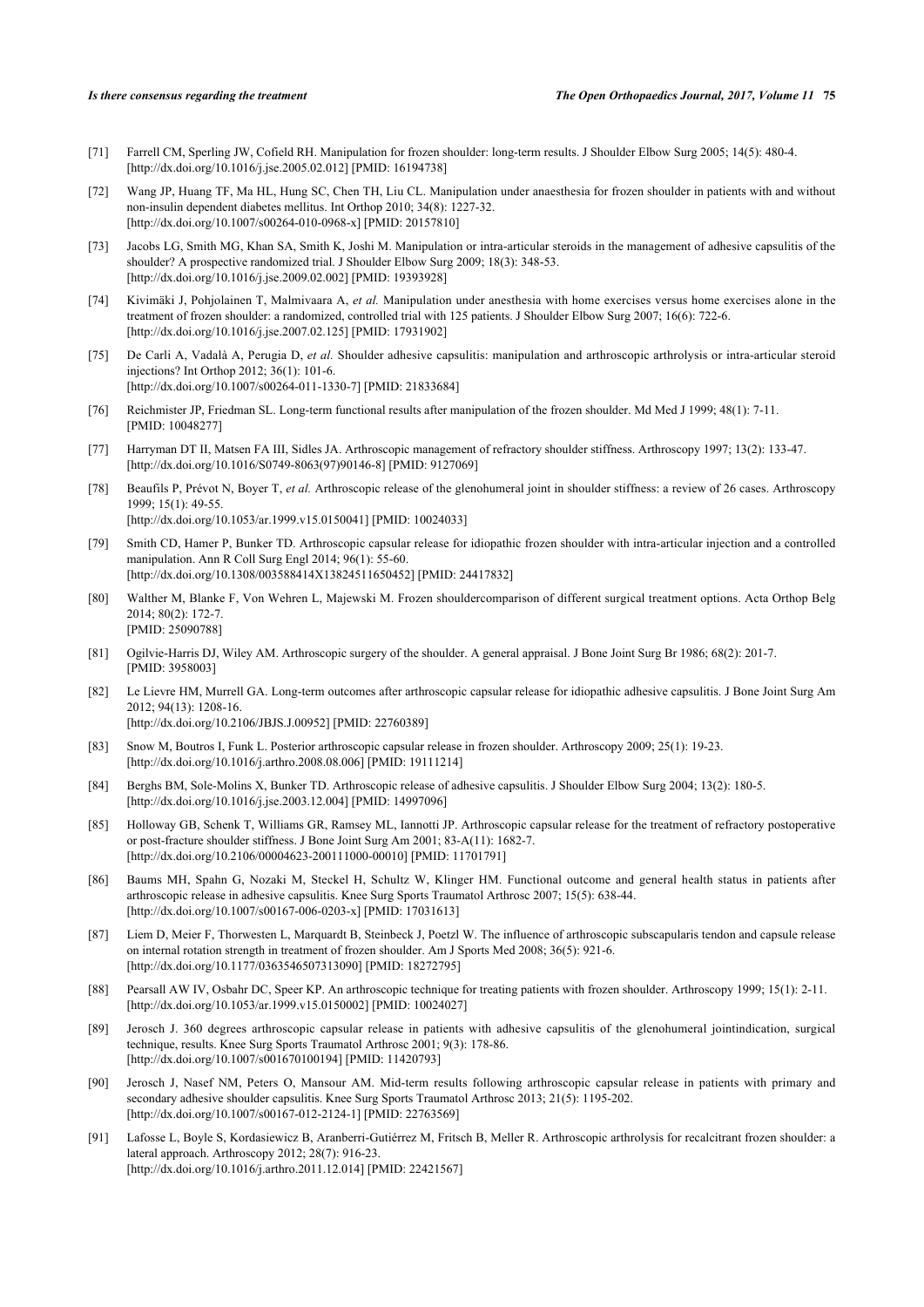- <span id="page-10-0"></span>[71] Farrell CM, Sperling JW, Cofield RH. Manipulation for frozen shoulder: long-term results. J Shoulder Elbow Surg 2005; 14(5): 480-4. [\[http://dx.doi.org/10.1016/j.jse.2005.02.012\]](http://dx.doi.org/10.1016/j.jse.2005.02.012) [PMID: [16194738](http://www.ncbi.nlm.nih.gov/pubmed/16194738)]
- <span id="page-10-1"></span>[72] Wang JP, Huang TF, Ma HL, Hung SC, Chen TH, Liu CL. Manipulation under anaesthesia for frozen shoulder in patients with and without non-insulin dependent diabetes mellitus. Int Orthop 2010; 34(8): 1227-32. [\[http://dx.doi.org/10.1007/s00264-010-0968-x\]](http://dx.doi.org/10.1007/s00264-010-0968-x) [PMID: [20157810](http://www.ncbi.nlm.nih.gov/pubmed/20157810)]
- <span id="page-10-2"></span>[73] Jacobs LG, Smith MG, Khan SA, Smith K, Joshi M. Manipulation or intra-articular steroids in the management of adhesive capsulitis of the shoulder? A prospective randomized trial. J Shoulder Elbow Surg 2009; 18(3): 348-53. [\[http://dx.doi.org/10.1016/j.jse.2009.02.002\]](http://dx.doi.org/10.1016/j.jse.2009.02.002) [PMID: [19393928](http://www.ncbi.nlm.nih.gov/pubmed/19393928)]
- <span id="page-10-3"></span>[74] Kivimäki J, Pohjolainen T, Malmivaara A, *et al.* Manipulation under anesthesia with home exercises versus home exercises alone in the treatment of frozen shoulder: a randomized, controlled trial with 125 patients. J Shoulder Elbow Surg 2007; 16(6): 722-6. [\[http://dx.doi.org/10.1016/j.jse.2007.02.125\]](http://dx.doi.org/10.1016/j.jse.2007.02.125) [PMID: [17931902](http://www.ncbi.nlm.nih.gov/pubmed/17931902)]
- <span id="page-10-4"></span>[75] De Carli A, Vadalà A, Perugia D, *et al.* Shoulder adhesive capsulitis: manipulation and arthroscopic arthrolysis or intra-articular steroid injections? Int Orthop 2012; 36(1): 101-6. [\[http://dx.doi.org/10.1007/s00264-011-1330-7\]](http://dx.doi.org/10.1007/s00264-011-1330-7) [PMID: [21833684](http://www.ncbi.nlm.nih.gov/pubmed/21833684)]
- <span id="page-10-5"></span>[76] Reichmister JP, Friedman SL. Long-term functional results after manipulation of the frozen shoulder. Md Med J 1999; 48(1): 7-11. [PMID: [10048277\]](http://www.ncbi.nlm.nih.gov/pubmed/10048277)
- <span id="page-10-6"></span>[77] Harryman DT II, Matsen FA III, Sidles JA. Arthroscopic management of refractory shoulder stiffness. Arthroscopy 1997; 13(2): 133-47. [\[http://dx.doi.org/10.1016/S0749-8063\(97\)90146-8\]](http://dx.doi.org/10.1016/S0749-8063(97)90146-8) [PMID: [9127069](http://www.ncbi.nlm.nih.gov/pubmed/9127069)]
- [78] Beaufils P, Prévot N, Boyer T, *et al.* Arthroscopic release of the glenohumeral joint in shoulder stiffness: a review of 26 cases. Arthroscopy 1999; 15(1): 49-55. [\[http://dx.doi.org/10.1053/ar.1999.v15.0150041](http://dx.doi.org/10.1053/ar.1999.v15.0150041)] [PMID: [10024033\]](http://www.ncbi.nlm.nih.gov/pubmed/10024033)
- [79] Smith CD, Hamer P, Bunker TD. Arthroscopic capsular release for idiopathic frozen shoulder with intra-articular injection and a controlled manipulation. Ann R Coll Surg Engl 2014; 96(1): 55-60. [\[http://dx.doi.org/10.1308/003588414X13824511650452\]](http://dx.doi.org/10.1308/003588414X13824511650452) [PMID: [24417832](http://www.ncbi.nlm.nih.gov/pubmed/24417832)]
- <span id="page-10-7"></span>[80] Walther M, Blanke F, Von Wehren L, Majewski M. Frozen shouldercomparison of different surgical treatment options. Acta Orthop Belg 2014; 80(2): 172-7. [PMID: [25090788\]](http://www.ncbi.nlm.nih.gov/pubmed/25090788)
- <span id="page-10-8"></span>[81] Ogilvie-Harris DJ, Wiley AM. Arthroscopic surgery of the shoulder. A general appraisal. J Bone Joint Surg Br 1986; 68(2): 201-7. [PMID: [3958003\]](http://www.ncbi.nlm.nih.gov/pubmed/3958003)
- <span id="page-10-9"></span>[82] Le Lievre HM, Murrell GA. Long-term outcomes after arthroscopic capsular release for idiopathic adhesive capsulitis. J Bone Joint Surg Am 2012; 94(13): 1208-16. [\[http://dx.doi.org/10.2106/JBJS.J.00952\]](http://dx.doi.org/10.2106/JBJS.J.00952) [PMID: [22760389](http://www.ncbi.nlm.nih.gov/pubmed/22760389)]
- <span id="page-10-10"></span>[83] Snow M, Boutros I, Funk L. Posterior arthroscopic capsular release in frozen shoulder. Arthroscopy 2009; 25(1): 19-23. [\[http://dx.doi.org/10.1016/j.arthro.2008.08.006](http://dx.doi.org/10.1016/j.arthro.2008.08.006)] [PMID: [19111214\]](http://www.ncbi.nlm.nih.gov/pubmed/19111214)
- <span id="page-10-11"></span>[84] Berghs BM, Sole-Molins X, Bunker TD. Arthroscopic release of adhesive capsulitis. J Shoulder Elbow Surg 2004; 13(2): 180-5. [\[http://dx.doi.org/10.1016/j.jse.2003.12.004\]](http://dx.doi.org/10.1016/j.jse.2003.12.004) [PMID: [14997096](http://www.ncbi.nlm.nih.gov/pubmed/14997096)]
- [85] Holloway GB, Schenk T, Williams GR, Ramsey ML, Iannotti JP. Arthroscopic capsular release for the treatment of refractory postoperative or post-fracture shoulder stiffness. J Bone Joint Surg Am 2001; 83-A(11): 1682-7. [\[http://dx.doi.org/10.2106/00004623-200111000-00010](http://dx.doi.org/10.2106/00004623-200111000-00010)] [PMID: [11701791\]](http://www.ncbi.nlm.nih.gov/pubmed/11701791)
- <span id="page-10-12"></span>[86] Baums MH, Spahn G, Nozaki M, Steckel H, Schultz W, Klinger HM. Functional outcome and general health status in patients after arthroscopic release in adhesive capsulitis. Knee Surg Sports Traumatol Arthrosc 2007; 15(5): 638-44. [\[http://dx.doi.org/10.1007/s00167-006-0203-x\]](http://dx.doi.org/10.1007/s00167-006-0203-x) [PMID: [17031613](http://www.ncbi.nlm.nih.gov/pubmed/17031613)]
- <span id="page-10-13"></span>[87] Liem D, Meier F, Thorwesten L, Marquardt B, Steinbeck J, Poetzl W. The influence of arthroscopic subscapularis tendon and capsule release on internal rotation strength in treatment of frozen shoulder. Am J Sports Med 2008; 36(5): 921-6. [\[http://dx.doi.org/10.1177/0363546507313090\]](http://dx.doi.org/10.1177/0363546507313090) [PMID: [18272795](http://www.ncbi.nlm.nih.gov/pubmed/18272795)]
- [88] Pearsall AW IV, Osbahr DC, Speer KP. An arthroscopic technique for treating patients with frozen shoulder. Arthroscopy 1999; 15(1): 2-11. [\[http://dx.doi.org/10.1053/ar.1999.v15.0150002](http://dx.doi.org/10.1053/ar.1999.v15.0150002)] [PMID: [10024027\]](http://www.ncbi.nlm.nih.gov/pubmed/10024027)
- <span id="page-10-14"></span>[89] Jerosch J. 360 degrees arthroscopic capsular release in patients with adhesive capsulitis of the glenohumeral jointindication, surgical technique, results. Knee Surg Sports Traumatol Arthrosc 2001; 9(3): 178-86. [\[http://dx.doi.org/10.1007/s001670100194\]](http://dx.doi.org/10.1007/s001670100194) [PMID: [11420793](http://www.ncbi.nlm.nih.gov/pubmed/11420793)]
- [90] Jerosch J, Nasef NM, Peters O, Mansour AM. Mid-term results following arthroscopic capsular release in patients with primary and secondary adhesive shoulder capsulitis. Knee Surg Sports Traumatol Arthrosc 2013; 21(5): 1195-202. [\[http://dx.doi.org/10.1007/s00167-012-2124-1\]](http://dx.doi.org/10.1007/s00167-012-2124-1) [PMID: [22763569](http://www.ncbi.nlm.nih.gov/pubmed/22763569)]
- <span id="page-10-15"></span>[91] Lafosse L, Boyle S, Kordasiewicz B, Aranberri-Gutiérrez M, Fritsch B, Meller R. Arthroscopic arthrolysis for recalcitrant frozen shoulder: a lateral approach. Arthroscopy 2012; 28(7): 916-23. [\[http://dx.doi.org/10.1016/j.arthro.2011.12.014](http://dx.doi.org/10.1016/j.arthro.2011.12.014)] [PMID: [22421567\]](http://www.ncbi.nlm.nih.gov/pubmed/22421567)